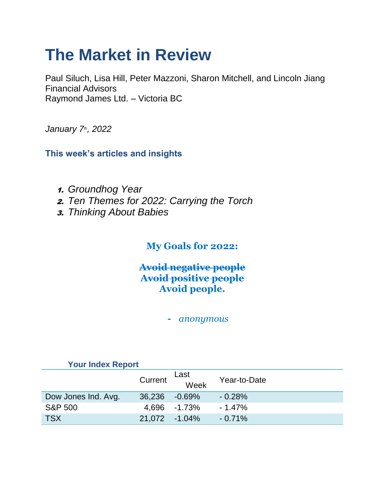# **The Market in Review**

Paul Siluch, Lisa Hill, Peter Mazzoni, Sharon Mitchell, and Lincoln Jiang Financial Advisors Raymond James Ltd. – Victoria BC

*January 7th, 2022*

**This week's articles and insights**

- 1. *Groundhog Year*
- 2. *Ten Themes for 2022: Carrying the Torch*
- 3. *Thinking About Babies*

# **My Goals for 2022:**

## **Avoid negative people Avoid positive people Avoid people.**

**-** *anonymous* 

| <b>Your Index Report</b> |               |              |              |
|--------------------------|---------------|--------------|--------------|
|                          | Current       | Last<br>Week | Year-to-Date |
|                          |               |              |              |
| Dow Jones Ind. Avg.      | 36,236        | $-0.69\%$    | $-0.28%$     |
| <b>S&amp;P 500</b>       | 4.696         | -1.73%       | $-1.47\%$    |
| <b>TSX</b>               | 21.072 -1.04% |              | $-0.71%$     |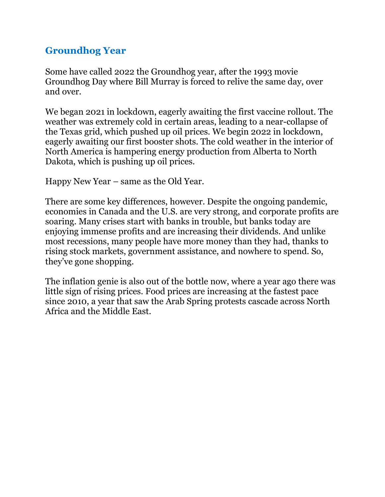## **Groundhog Year**

Some have called 2022 the Groundhog year, after the 1993 movie Groundhog Day where Bill Murray is forced to relive the same day, over and over.

We began 2021 in lockdown, eagerly awaiting the first vaccine rollout. The weather was extremely cold in certain areas, leading to a near-collapse of the Texas grid, which pushed up oil prices. We begin 2022 in lockdown, eagerly awaiting our first booster shots. The cold weather in the interior of North America is hampering energy production from Alberta to North Dakota, which is pushing up oil prices.

Happy New Year – same as the Old Year.

There are some key differences, however. Despite the ongoing pandemic, economies in Canada and the U.S. are very strong, and corporate profits are soaring. Many crises start with banks in trouble, but banks today are enjoying immense profits and are increasing their dividends. And unlike most recessions, many people have more money than they had, thanks to rising stock markets, government assistance, and nowhere to spend. So, they've gone shopping.

The inflation genie is also out of the bottle now, where a year ago there was little sign of rising prices. Food prices are increasing at the fastest pace since 2010, a year that saw the Arab Spring protests cascade across North Africa and the Middle East.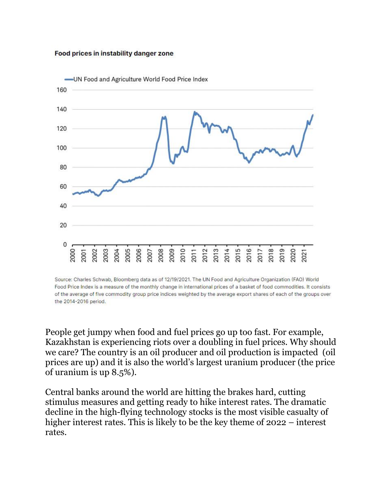#### Food prices in instability danger zone



Source: Charles Schwab, Bloomberg data as of 12/19/2021. The UN Food and Agriculture Organization (FAO) World Food Price Index is a measure of the monthly change in international prices of a basket of food commodities. It consists of the average of five commodity group price indices weighted by the average export shares of each of the groups over the 2014-2016 period.

People get jumpy when food and fuel prices go up too fast. For example, Kazakhstan is experiencing riots over a doubling in fuel prices. Why should we care? The country is an oil producer and oil production is impacted (oil prices are up) and it is also the world's largest uranium producer (the price of uranium is up 8.5%).

Central banks around the world are hitting the brakes hard, cutting stimulus measures and getting ready to hike interest rates. The dramatic decline in the high-flying technology stocks is the most visible casualty of higher interest rates. This is likely to be the key theme of 2022 – interest rates.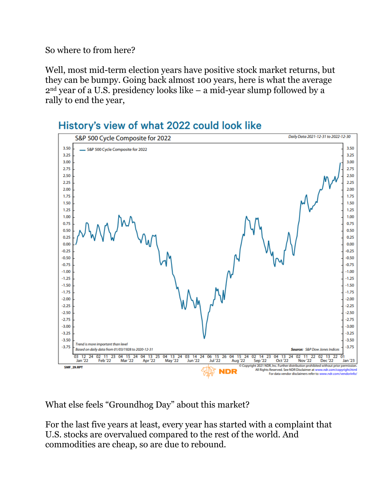So where to from here?

Well, most mid-term election years have positive stock market returns, but they can be bumpy. Going back almost 100 years, here is what the average 2nd year of a U.S. presidency looks like – a mid-year slump followed by a rally to end the year,



# History's view of what 2022 could look like

What else feels "Groundhog Day" about this market?

For the last five years at least, every year has started with a complaint that U.S. stocks are overvalued compared to the rest of the world. And commodities are cheap, so are due to rebound.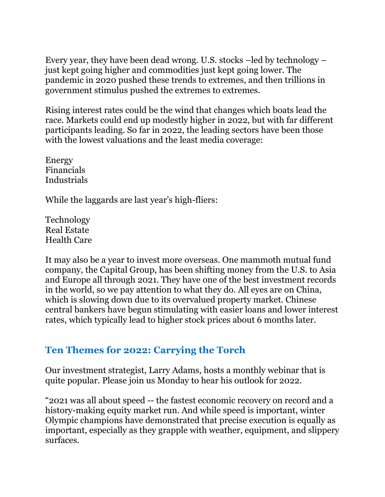Every year, they have been dead wrong. U.S. stocks –led by technology – just kept going higher and commodities just kept going lower. The pandemic in 2020 pushed these trends to extremes, and then trillions in government stimulus pushed the extremes to extremes.

Rising interest rates could be the wind that changes which boats lead the race. Markets could end up modestly higher in 2022, but with far different participants leading. So far in 2022, the leading sectors have been those with the lowest valuations and the least media coverage:

Energy Financials Industrials

While the laggards are last year's high-fliers:

Technology Real Estate Health Care

It may also be a year to invest more overseas. One mammoth mutual fund company, the Capital Group, has been shifting money from the U.S. to Asia and Europe all through 2021. They have one of the best investment records in the world, so we pay attention to what they do. All eyes are on China, which is slowing down due to its overvalued property market. Chinese central bankers have begun stimulating with easier loans and lower interest rates, which typically lead to higher stock prices about 6 months later.

## **Ten Themes for 2022: Carrying the Torch**

Our investment strategist, Larry Adams, hosts a monthly webinar that is quite popular. Please join us Monday to hear his outlook for 2022.

"2021 was all about speed -- the fastest economic recovery on record and a history-making equity market run. And while speed is important, winter Olympic champions have demonstrated that precise execution is equally as important, especially as they grapple with weather, equipment, and slippery surfaces.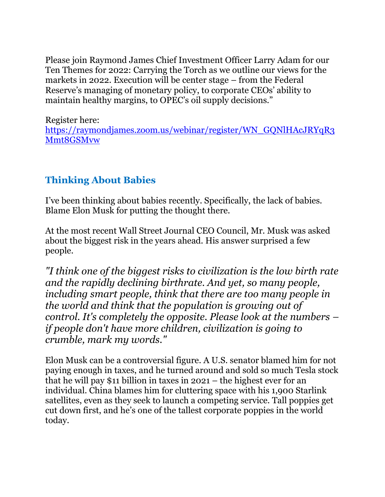Please join Raymond James Chief Investment Officer Larry Adam for our Ten Themes for 2022: Carrying the Torch as we outline our views for the markets in 2022. Execution will be center stage – from the Federal Reserve's managing of monetary policy, to corporate CEOs' ability to maintain healthy margins, to OPEC's oil supply decisions."

Register here: [https://raymondjames.zoom.us/webinar/register/WN\\_GQNlHAcJRYqR3](https://raymondjames.zoom.us/webinar/register/WN_GQNlHAcJRYqR3Mmt8GSMvw) [Mmt8GSMvw](https://raymondjames.zoom.us/webinar/register/WN_GQNlHAcJRYqR3Mmt8GSMvw)

# **Thinking About Babies**

I've been thinking about babies recently. Specifically, the lack of babies. Blame Elon Musk for putting the thought there.

At the most recent Wall Street Journal CEO Council, Mr. Musk was asked about the biggest risk in the years ahead. His answer surprised a few people.

*"I think one of the biggest risks to civilization is the low birth rate and the rapidly declining birthrate. And yet, so many people, including smart people, think that there are too many people in the world and think that the population is growing out of control. It's completely the opposite. Please look at the numbers – if people don't have more children, civilization is going to crumble, mark my words."*

Elon Musk can be a controversial figure. A U.S. senator blamed him for not paying enough in taxes, and he turned around and sold so much Tesla stock that he will pay \$11 billion in taxes in 2021 – the highest ever for an individual. China blames him for cluttering space with his 1,900 Starlink satellites, even as they seek to launch a competing service. Tall poppies get cut down first, and he's one of the tallest corporate poppies in the world today.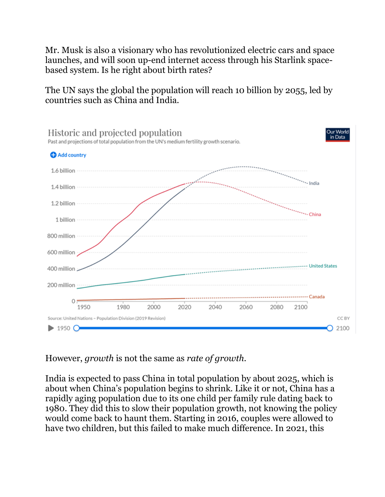Mr. Musk is also a visionary who has revolutionized electric cars and space launches, and will soon up-end internet access through his Starlink spacebased system. Is he right about birth rates?

The UN says the global the population will reach 10 billion by 2055, led by countries such as China and India.



However, *growth* is not the same as *rate of growth*.

India is expected to pass China in total population by about 2025, which is about when China's population begins to shrink. Like it or not, China has a rapidly aging population due to its one child per family rule dating back to 1980. They did this to slow their population growth, not knowing the policy would come back to haunt them. Starting in 2016, couples were allowed to have two children, but this failed to make much difference. In 2021, this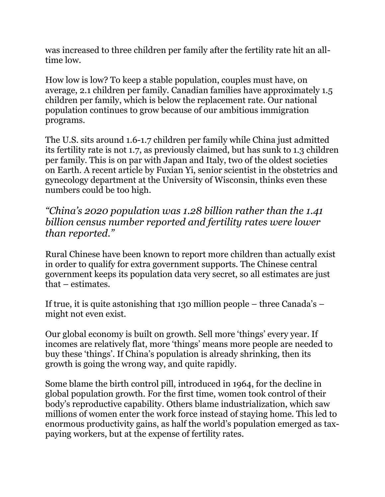was increased to three children per family after the fertility rate hit an alltime low.

How low is low? To keep a stable population, couples must have, on average, 2.1 children per family. Canadian families have approximately 1.5 children per family, which is below the replacement rate. Our national population continues to grow because of our ambitious immigration programs.

The U.S. sits around 1.6-1.7 children per family while China just admitted its fertility rate is not 1.7, as previously claimed, but has sunk to 1.3 children per family. This is on par with Japan and Italy, two of the oldest societies on Earth. A recent article by Fuxian Yi, senior scientist in the obstetrics and gynecology department at the University of Wisconsin, thinks even these numbers could be too high.

*"China's 2020 population was 1.28 billion rather than the 1.41 billion census number reported and fertility rates were lower than reported."*

Rural Chinese have been known to report more children than actually exist in order to qualify for extra government supports. The Chinese central government keeps its population data very secret, so all estimates are just that – estimates.

If true, it is quite astonishing that 130 million people – three Canada's – might not even exist.

Our global economy is built on growth. Sell more 'things' every year. If incomes are relatively flat, more 'things' means more people are needed to buy these 'things'. If China's population is already shrinking, then its growth is going the wrong way, and quite rapidly.

Some blame the birth control pill, introduced in 1964, for the decline in global population growth. For the first time, women took control of their body's reproductive capability. Others blame industrialization, which saw millions of women enter the work force instead of staying home. This led to enormous productivity gains, as half the world's population emerged as taxpaying workers, but at the expense of fertility rates.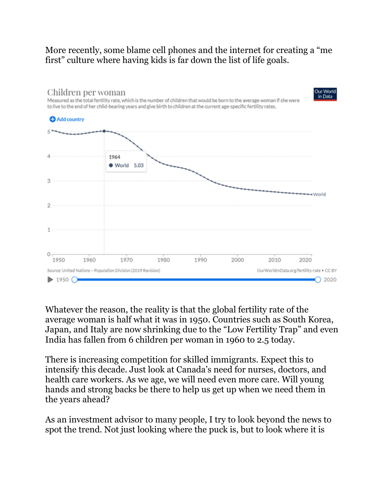## More recently, some blame cell phones and the internet for creating a "me first" culture where having kids is far down the list of life goals.



Whatever the reason, the reality is that the global fertility rate of the average woman is half what it was in 1950. Countries such as South Korea, Japan, and Italy are now shrinking due to the "Low Fertility Trap" and even India has fallen from 6 children per woman in 1960 to 2.5 today.

There is increasing competition for skilled immigrants. Expect this to intensify this decade. Just look at Canada's need for nurses, doctors, and health care workers. As we age, we will need even more care. Will young hands and strong backs be there to help us get up when we need them in the years ahead?

As an investment advisor to many people, I try to look beyond the news to spot the trend. Not just looking where the puck is, but to look where it is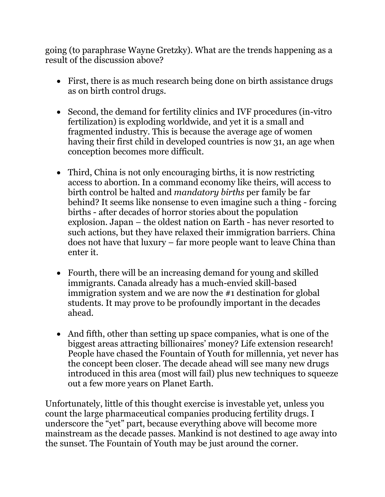going (to paraphrase Wayne Gretzky). What are the trends happening as a result of the discussion above?

- First, there is as much research being done on birth assistance drugs as on birth control drugs.
- Second, the demand for fertility clinics and IVF procedures (in-vitro fertilization) is exploding worldwide, and yet it is a small and fragmented industry. This is because the average age of women having their first child in developed countries is now 31, an age when conception becomes more difficult.
- Third, China is not only encouraging births, it is now restricting access to abortion. In a command economy like theirs, will access to birth control be halted and *mandatory births* per family be far behind? It seems like nonsense to even imagine such a thing - forcing births - after decades of horror stories about the population explosion. Japan – the oldest nation on Earth - has never resorted to such actions, but they have relaxed their immigration barriers. China does not have that luxury – far more people want to leave China than enter it.
- Fourth, there will be an increasing demand for young and skilled immigrants. Canada already has a much-envied skill-based immigration system and we are now the #1 destination for global students. It may prove to be profoundly important in the decades ahead.
- And fifth, other than setting up space companies, what is one of the biggest areas attracting billionaires' money? Life extension research! People have chased the Fountain of Youth for millennia, yet never has the concept been closer. The decade ahead will see many new drugs introduced in this area (most will fail) plus new techniques to squeeze out a few more years on Planet Earth.

Unfortunately, little of this thought exercise is investable yet, unless you count the large pharmaceutical companies producing fertility drugs. I underscore the "yet" part, because everything above will become more mainstream as the decade passes. Mankind is not destined to age away into the sunset. The Fountain of Youth may be just around the corner.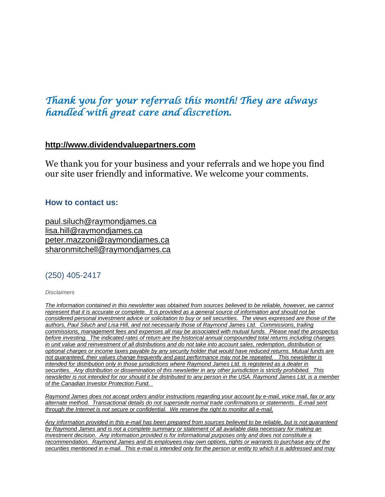# *Thank you for your referrals this month! They are always handled with great care and discretion.*

## **[http://www.dividendvaluepartners.com](https://na01.safelinks.protection.outlook.com/?url=https%3A%2F%2Furldefense.proofpoint.com%2Fv2%2Furl%3Fu%3Dhttps-3A__na01.safelinks.protection.outlook.com_-3Furl-3Dhttps-253A-252F-252Furldefense.proofpoint.com-252Fv2-252Furl-253Fu-253Dhttps-2D3A-5F-5Fnam11.safelinks.protection.outlook.com-5F-2D3Furl-2D3Dhttps-2D253A-2D252F-2D252Furldefense.proofpoint.com-2D252Fv2-2D252Furl-2D253Fu-2D253Dhttp-2D2D3A-2D5F-2D5Fwww.dividendvaluepartners.com-2D2526d-2D253DDwMFAw-2D2526c-2D253DK3dQCUGiI1B95NJ6cl3GoyhMW2dvBOfimZA-2D2D83UXll0-2D2526r-2D253D-2D5F6MBBSGYsFznIBwslhTiqBKEz4pHUCTd-2D5F9tbh-2D5FEpUMY-2D2526m-2D253DscBAtuMDuWZwK1IVr5YXjdB6aRS-2D2DfaGHAMq3jOn6sJU-2D2526s-2D253DenZqe4ZgcjH-2D5F33x5dT-2D2DvZq9A37d4AhNkXvjc6AbmYww-2D2526e-2D253D-2D26data-2D3D02-2D257C01-2D257C-2D257Cc172461ecbee4482512908d85e8192cf-2D257C84df9e7fe9f640afb435aaaaaaaaaaaa-2D257C1-2D257C0-2D257C637363258183615686-2D26sdata-2D3DewMvepveEmLgP7SL0jTlvLtATqW9IhbJ2C3UL0Em04c-2D253D-2D26reserved-2D3D0-2526d-253DDwMF-2Dg-2526c-253DK3dQCUGiI1B95NJ6cl3GoyhMW2dvBOfimZA-2D83UXll0-2526r-253D-5F6MBBSGYsFznIBwslhTiqBKEz4pHUCTd-5F9tbh-5FEpUMY-2526m-253D7qOaEnVxLdGuCP74qXGTNk9xkBSFm8R3CYYmRfTv9PQ-2526s-253DW8OEBAbaLee5suYwpNsPIikduscCx0SIuOWzAWRhAvc-2526e-253D-26data-3D04-257C01-257C-257Cd7befaa6204e4970b3c708d940d9c59b-257C84df9e7fe9f640afb435aaaaaaaaaaaa-257C1-257C0-257C637612126570747664-257CUnknown-257CTWFpbGZsb3d8eyJWIjoiMC4wLjAwMDAiLCJQIjoiV2luMzIiLCJBTiI6Ik1haWwiLCJXVCI6Mn0-253D-257C1000-26sdata-3DXHDuRL9htcGHCyG2hM-252BdTEOf1Bh8t-252BJ4FZMnSIBO5ik-253D-26reserved-3D0%26d%3DDwMGaQ%26c%3D6lBq1l7u-nYp55J7Pl8O6Ib5YT4g76ov0zCpXQrgS5M%26r%3DTmDOHaoWW3RetfvnGoPae_UczKZXXQgvJPe_P66GVYI%26m%3DHg8p8oxWBi-8j3HS2BzGxBvIXidcreERuI3mj9N1_KY%26s%3Dst9rMvZC9cnEMD4IqMaRfJa_flcWIkk1-2PG6qR-qfE%26e%3D&data=04%7C01%7C%7C96eb5c23f77d45400b0d08d9c04986b6%7C84df9e7fe9f640afb435aaaaaaaaaaaa%7C1%7C0%7C637752244322491119%7CUnknown%7CTWFpbGZsb3d8eyJWIjoiMC4wLjAwMDAiLCJQIjoiV2luMzIiLCJBTiI6Ik1haWwiLCJXVCI6Mn0%3D%7C3000&sdata=AvY77%2BenPPmTOcoV6v6rrLmdoi2uFtE3j3BQE4J4aZc%3D&reserved=0)**

We thank you for your business and your referrals and we hope you find our site user friendly and informative. We welcome your comments.

## **How to contact us:**

[paul.siluch@raymondjames.ca](https://na01.safelinks.protection.outlook.com/?url=https%3A%2F%2Furldefense.proofpoint.com%2Fv2%2Furl%3Fu%3Dhttps-3A__na01.safelinks.protection.outlook.com_-3Furl-3Dhttps-253A-252F-252Furldefense.proofpoint.com-252Fv2-252Furl-253Fu-253Dhttps-2D3A-5F-5Fnam11.safelinks.protection.outlook.com-5F-2D3Furl-2D3Dhttps-2D253A-2D252F-2D252Fowa-2D2Dkel.raymondjames.ca-2D252Fowa-2D252Fredir.aspx-2D253FSURL-2D253Dz0BxOCXDlQ-2D2DAad1f-2D5Fa9igaARxm5Rd1VXE7UcmD4mZ3IZiacj7DPTCG0AYQBpAGwAdABvADoAcABhAHUAbAAuAHMAaQBsAHUAYwBoAEAAcgBhAHkAbQBvAG4AZABqAGEAbQBlAHMALgBjAGEA-2D2526URL-2D253Dmailto-2D25253apaul.siluch-2D252540raymondjames.ca-2D26data-2D3D02-2D257C01-2D257C-2D257Cc172461ecbee4482512908d85e8192cf-2D257C84df9e7fe9f640afb435aaaaaaaaaaaa-2D257C1-2D257C0-2D257C637363258183625679-2D26sdata-2D3DHJ7PtuamH3ey-2D252Bis0LQS7WLUtHpHoAnxnHrYxprmWKn4-2D253D-2D26reserved-2D3D0-2526d-253DDwMF-2Dg-2526c-253DK3dQCUGiI1B95NJ6cl3GoyhMW2dvBOfimZA-2D83UXll0-2526r-253D-5F6MBBSGYsFznIBwslhTiqBKEz4pHUCTd-5F9tbh-5FEpUMY-2526m-253D7qOaEnVxLdGuCP74qXGTNk9xkBSFm8R3CYYmRfTv9PQ-2526s-253DTKyIHrHn9jy3BGThbM3t6qa96Jt8NZSlnsJ21h5JIRM-2526e-253D-26data-3D04-257C01-257C-257Cd7befaa6204e4970b3c708d940d9c59b-257C84df9e7fe9f640afb435aaaaaaaaaaaa-257C1-257C0-257C637612126570757658-257CUnknown-257CTWFpbGZsb3d8eyJWIjoiMC4wLjAwMDAiLCJQIjoiV2luMzIiLCJBTiI6Ik1haWwiLCJXVCI6Mn0-253D-257C1000-26sdata-3DtSsTaE4gEuMLlAfRWRmi27n2azhUH-252FJQmjG-252FZzaiK5c-253D-26reserved-3D0%26d%3DDwMGaQ%26c%3D6lBq1l7u-nYp55J7Pl8O6Ib5YT4g76ov0zCpXQrgS5M%26r%3DTmDOHaoWW3RetfvnGoPae_UczKZXXQgvJPe_P66GVYI%26m%3DHg8p8oxWBi-8j3HS2BzGxBvIXidcreERuI3mj9N1_KY%26s%3DjmLVDhJSd1TJ4bMBNqpGj99vIekOC2VHC3jJMzP02hU%26e%3D&data=04%7C01%7C%7C96eb5c23f77d45400b0d08d9c04986b6%7C84df9e7fe9f640afb435aaaaaaaaaaaa%7C1%7C0%7C637752244322501116%7CUnknown%7CTWFpbGZsb3d8eyJWIjoiMC4wLjAwMDAiLCJQIjoiV2luMzIiLCJBTiI6Ik1haWwiLCJXVCI6Mn0%3D%7C3000&sdata=sZ7D4j%2B%2FU6%2B4Cz4%2FTSaoWD6JxvNh0FZMaEwnhYc0png%3D&reserved=0) [lisa.hill@raymondjames.ca](https://na01.safelinks.protection.outlook.com/?url=https%3A%2F%2Furldefense.proofpoint.com%2Fv2%2Furl%3Fu%3Dhttps-3A__na01.safelinks.protection.outlook.com_-3Furl-3Dhttps-253A-252F-252Furldefense.proofpoint.com-252Fv2-252Furl-253Fu-253Dhttps-2D3A-5F-5Fnam11.safelinks.protection.outlook.com-5F-2D3Furl-2D3Dhttps-2D253A-2D252F-2D252Fowa-2D2Dkel.raymondjames.ca-2D252Fowa-2D252Fredir.aspx-2D253FSURL-2D253DglaBgdTdxPMFpiw4eumg-2D2DPzZXpo9vJyObrXLs1TKtIAZiacj7DPTCG0AYQBpAGwAdABvADoAbABpAHMAYQAuAGgAaQBsAGwAQAByAGEAeQBtAG8AbgBkAGoAYQBtAGUAcwAuAGMAYQA.-2D2526URL-2D253Dmailto-2D25253alisa.hill-2D252540raymondjames.ca-2D26data-2D3D02-2D257C01-2D257C-2D257Cc172461ecbee4482512908d85e8192cf-2D257C84df9e7fe9f640afb435aaaaaaaaaaaa-2D257C1-2D257C0-2D257C637363258183625679-2D26sdata-2D3DlqUdr0V-2D252Bbj4LaURrM2MSPIDvGfk5bLYx0U1BkRoTrH4-2D253D-2D26reserved-2D3D0-2526d-253DDwMF-2Dg-2526c-253DK3dQCUGiI1B95NJ6cl3GoyhMW2dvBOfimZA-2D83UXll0-2526r-253D-5F6MBBSGYsFznIBwslhTiqBKEz4pHUCTd-5F9tbh-5FEpUMY-2526m-253D7qOaEnVxLdGuCP74qXGTNk9xkBSFm8R3CYYmRfTv9PQ-2526s-253Dc8alCSC-2Db4YnoP6-2D1kuPw-5FKdDfdlIvu8oQ-5Fwi3WtrQw-2526e-253D-26data-3D04-257C01-257C-257Cd7befaa6204e4970b3c708d940d9c59b-257C84df9e7fe9f640afb435aaaaaaaaaaaa-257C1-257C0-257C637612126570767658-257CUnknown-257CTWFpbGZsb3d8eyJWIjoiMC4wLjAwMDAiLCJQIjoiV2luMzIiLCJBTiI6Ik1haWwiLCJXVCI6Mn0-253D-257C1000-26sdata-3DmbkMF6OZzdEQL5epcHGHh3oDqQhUOkTuKZIDl6XG-252FdU-253D-26reserved-3D0%26d%3DDwMGaQ%26c%3D6lBq1l7u-nYp55J7Pl8O6Ib5YT4g76ov0zCpXQrgS5M%26r%3DTmDOHaoWW3RetfvnGoPae_UczKZXXQgvJPe_P66GVYI%26m%3DHg8p8oxWBi-8j3HS2BzGxBvIXidcreERuI3mj9N1_KY%26s%3DPBdSi3I-fggf2z2DNlsTu3IuS77Mx_WOJqyL2HH0698%26e%3D&data=04%7C01%7C%7C96eb5c23f77d45400b0d08d9c04986b6%7C84df9e7fe9f640afb435aaaaaaaaaaaa%7C1%7C0%7C637752244322511109%7CUnknown%7CTWFpbGZsb3d8eyJWIjoiMC4wLjAwMDAiLCJQIjoiV2luMzIiLCJBTiI6Ik1haWwiLCJXVCI6Mn0%3D%7C3000&sdata=U1WwVV7wLLUWf%2Fne15%2FVo06iIsBqkYR7zM6XwNxwDz8%3D&reserved=0) [peter.mazzoni@raymondjames.ca](https://na01.safelinks.protection.outlook.com/?url=https%3A%2F%2Furldefense.proofpoint.com%2Fv2%2Furl%3Fu%3Dhttps-3A__na01.safelinks.protection.outlook.com_-3Furl-3Dhttps-253A-252F-252Furldefense.proofpoint.com-252Fv2-252Furl-253Fu-253Dhttps-2D3A-5F-5Fnam11.safelinks.protection.outlook.com-5F-2D3Furl-2D3Dhttps-2D253A-2D252F-2D252Fowa-2D2Dkel.raymondjames.ca-2D252Fowa-2D252Fredir.aspx-2D253FSURL-2D253D3c7mDL9-2D2DcZxYXt7CvkOu20QVFy1WCaDQxUZ3BQE6vecZiacj7DPTCG0AYQBpAGwAdABvADoAcABlAHQAZQByAC4AbQBhAHoAegBvAG4AaQBAAHIAYQB5AG0AbwBuAGQAagBhAG0AZQBzAC4AYwBhAA..-2D2526URL-2D253Dmailto-2D25253apeter.mazzoni-2D252540raymondjames.ca-2D26data-2D3D02-2D257C01-2D257C-2D257Cc172461ecbee4482512908d85e8192cf-2D257C84df9e7fe9f640afb435aaaaaaaaaaaa-2D257C1-2D257C0-2D257C637363258183635674-2D26sdata-2D3D1suYGaoqcgH5k419ERrAlAGzpG-2D252BufP-2D252FAE-2D252FdOZxq8Cus-2D253D-2D26reserved-2D3D0-2526d-253DDwMF-2Dg-2526c-253DK3dQCUGiI1B95NJ6cl3GoyhMW2dvBOfimZA-2D83UXll0-2526r-253D-5F6MBBSGYsFznIBwslhTiqBKEz4pHUCTd-5F9tbh-5FEpUMY-2526m-253D7qOaEnVxLdGuCP74qXGTNk9xkBSFm8R3CYYmRfTv9PQ-2526s-253Dmwchq7c2WnuY-2DoLgiUBkMdFmrEXBtoSxe2YfSBkWXZU-2526e-253D-26data-3D04-257C01-257C-257Cd7befaa6204e4970b3c708d940d9c59b-257C84df9e7fe9f640afb435aaaaaaaaaaaa-257C1-257C0-257C637612126570777650-257CUnknown-257CTWFpbGZsb3d8eyJWIjoiMC4wLjAwMDAiLCJQIjoiV2luMzIiLCJBTiI6Ik1haWwiLCJXVCI6Mn0-253D-257C1000-26sdata-3DnVeeP1CL6-252FQeO1CpTWrrGxPY-252BWQV32hyGVF1TIeO-252FEU-253D-26reserved-3D0%26d%3DDwMGaQ%26c%3D6lBq1l7u-nYp55J7Pl8O6Ib5YT4g76ov0zCpXQrgS5M%26r%3DTmDOHaoWW3RetfvnGoPae_UczKZXXQgvJPe_P66GVYI%26m%3DHg8p8oxWBi-8j3HS2BzGxBvIXidcreERuI3mj9N1_KY%26s%3D38-c1IfAWv_rfunMKvnx7Jqt8ZX1mxyCR_xrJrr2Dt8%26e%3D&data=04%7C01%7C%7C96eb5c23f77d45400b0d08d9c04986b6%7C84df9e7fe9f640afb435aaaaaaaaaaaa%7C1%7C0%7C637752244322521106%7CUnknown%7CTWFpbGZsb3d8eyJWIjoiMC4wLjAwMDAiLCJQIjoiV2luMzIiLCJBTiI6Ik1haWwiLCJXVCI6Mn0%3D%7C3000&sdata=eXrsUXdFH3ZYcZ4QBwCKR8SJkvIYQDte%2BV8mnbbo%2FNg%3D&reserved=0) [sharonmitchell@raymondjames.ca](mailto:sharonmitchell@raymondjames.ca)

## (250) 405-2417

*Disclaimers*

*[The information contained in this newsletter was obtained from sources](https://na01.safelinks.protection.outlook.com/?url=https%3A%2F%2Furldefense.proofpoint.com%2Fv2%2Furl%3Fu%3Dhttps-3A__na01.safelinks.protection.outlook.com_-3Furl-3Dhttps-253A-252F-252Furldefense.proofpoint.com-252Fv2-252Furl-253Fu-253Dhttps-2D3A-5F-5Fnam11.safelinks.protection.outlook.com-5F-2D3Furl-2D3Dhttps-2D253A-2D252F-2D252Fowa-2D2Dkel.raymondjames.ca-2D252Fowa-2D252Fredir.aspx-2D253FSURL-2D253Dz0BxOCXDlQ-2D2DAad1f-2D5Fa9igaARxm5Rd1VXE7UcmD4mZ3IZiacj7DPTCG0AYQBpAGwAdABvADoAcABhAHUAbAAuAHMAaQBsAHUAYwBoAEAAcgBhAHkAbQBvAG4AZABqAGEAbQBlAHMALgBjAGEA-2D2526URL-2D253Dmailto-2D25253apaul.siluch-2D252540raymondjames.ca-2D26data-2D3D02-2D257C01-2D257C-2D257Cc172461ecbee4482512908d85e8192cf-2D257C84df9e7fe9f640afb435aaaaaaaaaaaa-2D257C1-2D257C0-2D257C637363258183635674-2D26sdata-2D3DYxnEd1j-2D252BPKZ7O-2D252BaYYWd4rEqnA-2D252FsZJqXh5i43hxevA-2D252Bk-2D253D-2D26reserved-2D3D0-2526d-253DDwMF-2Dg-2526c-253DK3dQCUGiI1B95NJ6cl3GoyhMW2dvBOfimZA-2D83UXll0-2526r-253D-5F6MBBSGYsFznIBwslhTiqBKEz4pHUCTd-5F9tbh-5FEpUMY-2526m-253D7qOaEnVxLdGuCP74qXGTNk9xkBSFm8R3CYYmRfTv9PQ-2526s-253DnStAVPWry0CYI3VlF6rPrM0m6uEmVBMWcLnjvw4FcOQ-2526e-253D-26data-3D04-257C01-257C-257Cd7befaa6204e4970b3c708d940d9c59b-257C84df9e7fe9f640afb435aaaaaaaaaaaa-257C1-257C0-257C637612126570777650-257CUnknown-257CTWFpbGZsb3d8eyJWIjoiMC4wLjAwMDAiLCJQIjoiV2luMzIiLCJBTiI6Ik1haWwiLCJXVCI6Mn0-253D-257C1000-26sdata-3DM49ZXdnspSFZQrK596fbGTlretjh3YLak2zax0lTRhA-253D-26reserved-3D0%26d%3DDwMGaQ%26c%3D6lBq1l7u-nYp55J7Pl8O6Ib5YT4g76ov0zCpXQrgS5M%26r%3DTmDOHaoWW3RetfvnGoPae_UczKZXXQgvJPe_P66GVYI%26m%3DHg8p8oxWBi-8j3HS2BzGxBvIXidcreERuI3mj9N1_KY%26s%3DcHHP8E9p-dpaWlcpnlZpqEr5EDq5pp8nszhdjMVBqLQ%26e%3D&data=04%7C01%7C%7C96eb5c23f77d45400b0d08d9c04986b6%7C84df9e7fe9f640afb435aaaaaaaaaaaa%7C1%7C0%7C637752244322531100%7CUnknown%7CTWFpbGZsb3d8eyJWIjoiMC4wLjAwMDAiLCJQIjoiV2luMzIiLCJBTiI6Ik1haWwiLCJXVCI6Mn0%3D%7C3000&sdata=IOWgM6HBm%2BEybcpihvxUsdyDQXvn5YirVzSXUwnElj4%3D&reserved=0) believed to be reliable, however, we cannot represent that it is accurate or complete. [It is provided as a general source of information and should not be](https://na01.safelinks.protection.outlook.com/?url=https%3A%2F%2Furldefense.proofpoint.com%2Fv2%2Furl%3Fu%3Dhttps-3A__na01.safelinks.protection.outlook.com_-3Furl-3Dhttps-253A-252F-252Furldefense.proofpoint.com-252Fv2-252Furl-253Fu-253Dhttps-2D3A-5F-5Fnam11.safelinks.protection.outlook.com-5F-2D3Furl-2D3Dhttps-2D253A-2D252F-2D252Fowa-2D2Dkel.raymondjames.ca-2D252Fowa-2D252Fredir.aspx-2D253FSURL-2D253Dz0BxOCXDlQ-2D2DAad1f-2D5Fa9igaARxm5Rd1VXE7UcmD4mZ3IZiacj7DPTCG0AYQBpAGwAdABvADoAcABhAHUAbAAuAHMAaQBsAHUAYwBoAEAAcgBhAHkAbQBvAG4AZABqAGEAbQBlAHMALgBjAGEA-2D2526URL-2D253Dmailto-2D25253apaul.siluch-2D252540raymondjames.ca-2D26data-2D3D02-2D257C01-2D257C-2D257Cc172461ecbee4482512908d85e8192cf-2D257C84df9e7fe9f640afb435aaaaaaaaaaaa-2D257C1-2D257C0-2D257C637363258183635674-2D26sdata-2D3DYxnEd1j-2D252BPKZ7O-2D252BaYYWd4rEqnA-2D252FsZJqXh5i43hxevA-2D252Bk-2D253D-2D26reserved-2D3D0-2526d-253DDwMF-2Dg-2526c-253DK3dQCUGiI1B95NJ6cl3GoyhMW2dvBOfimZA-2D83UXll0-2526r-253D-5F6MBBSGYsFznIBwslhTiqBKEz4pHUCTd-5F9tbh-5FEpUMY-2526m-253D7qOaEnVxLdGuCP74qXGTNk9xkBSFm8R3CYYmRfTv9PQ-2526s-253DnStAVPWry0CYI3VlF6rPrM0m6uEmVBMWcLnjvw4FcOQ-2526e-253D-26data-3D04-257C01-257C-257Cd7befaa6204e4970b3c708d940d9c59b-257C84df9e7fe9f640afb435aaaaaaaaaaaa-257C1-257C0-257C637612126570777650-257CUnknown-257CTWFpbGZsb3d8eyJWIjoiMC4wLjAwMDAiLCJQIjoiV2luMzIiLCJBTiI6Ik1haWwiLCJXVCI6Mn0-253D-257C1000-26sdata-3DM49ZXdnspSFZQrK596fbGTlretjh3YLak2zax0lTRhA-253D-26reserved-3D0%26d%3DDwMGaQ%26c%3D6lBq1l7u-nYp55J7Pl8O6Ib5YT4g76ov0zCpXQrgS5M%26r%3DTmDOHaoWW3RetfvnGoPae_UczKZXXQgvJPe_P66GVYI%26m%3DHg8p8oxWBi-8j3HS2BzGxBvIXidcreERuI3mj9N1_KY%26s%3DcHHP8E9p-dpaWlcpnlZpqEr5EDq5pp8nszhdjMVBqLQ%26e%3D&data=04%7C01%7C%7C96eb5c23f77d45400b0d08d9c04986b6%7C84df9e7fe9f640afb435aaaaaaaaaaaa%7C1%7C0%7C637752244322531100%7CUnknown%7CTWFpbGZsb3d8eyJWIjoiMC4wLjAwMDAiLCJQIjoiV2luMzIiLCJBTiI6Ik1haWwiLCJXVCI6Mn0%3D%7C3000&sdata=IOWgM6HBm%2BEybcpihvxUsdyDQXvn5YirVzSXUwnElj4%3D&reserved=0)  [considered personal investment advice or solicitation to buy or sell securities.](https://na01.safelinks.protection.outlook.com/?url=https%3A%2F%2Furldefense.proofpoint.com%2Fv2%2Furl%3Fu%3Dhttps-3A__na01.safelinks.protection.outlook.com_-3Furl-3Dhttps-253A-252F-252Furldefense.proofpoint.com-252Fv2-252Furl-253Fu-253Dhttps-2D3A-5F-5Fnam11.safelinks.protection.outlook.com-5F-2D3Furl-2D3Dhttps-2D253A-2D252F-2D252Fowa-2D2Dkel.raymondjames.ca-2D252Fowa-2D252Fredir.aspx-2D253FSURL-2D253Dz0BxOCXDlQ-2D2DAad1f-2D5Fa9igaARxm5Rd1VXE7UcmD4mZ3IZiacj7DPTCG0AYQBpAGwAdABvADoAcABhAHUAbAAuAHMAaQBsAHUAYwBoAEAAcgBhAHkAbQBvAG4AZABqAGEAbQBlAHMALgBjAGEA-2D2526URL-2D253Dmailto-2D25253apaul.siluch-2D252540raymondjames.ca-2D26data-2D3D02-2D257C01-2D257C-2D257Cc172461ecbee4482512908d85e8192cf-2D257C84df9e7fe9f640afb435aaaaaaaaaaaa-2D257C1-2D257C0-2D257C637363258183635674-2D26sdata-2D3DYxnEd1j-2D252BPKZ7O-2D252BaYYWd4rEqnA-2D252FsZJqXh5i43hxevA-2D252Bk-2D253D-2D26reserved-2D3D0-2526d-253DDwMF-2Dg-2526c-253DK3dQCUGiI1B95NJ6cl3GoyhMW2dvBOfimZA-2D83UXll0-2526r-253D-5F6MBBSGYsFznIBwslhTiqBKEz4pHUCTd-5F9tbh-5FEpUMY-2526m-253D7qOaEnVxLdGuCP74qXGTNk9xkBSFm8R3CYYmRfTv9PQ-2526s-253DnStAVPWry0CYI3VlF6rPrM0m6uEmVBMWcLnjvw4FcOQ-2526e-253D-26data-3D04-257C01-257C-257Cd7befaa6204e4970b3c708d940d9c59b-257C84df9e7fe9f640afb435aaaaaaaaaaaa-257C1-257C0-257C637612126570777650-257CUnknown-257CTWFpbGZsb3d8eyJWIjoiMC4wLjAwMDAiLCJQIjoiV2luMzIiLCJBTiI6Ik1haWwiLCJXVCI6Mn0-253D-257C1000-26sdata-3DM49ZXdnspSFZQrK596fbGTlretjh3YLak2zax0lTRhA-253D-26reserved-3D0%26d%3DDwMGaQ%26c%3D6lBq1l7u-nYp55J7Pl8O6Ib5YT4g76ov0zCpXQrgS5M%26r%3DTmDOHaoWW3RetfvnGoPae_UczKZXXQgvJPe_P66GVYI%26m%3DHg8p8oxWBi-8j3HS2BzGxBvIXidcreERuI3mj9N1_KY%26s%3DcHHP8E9p-dpaWlcpnlZpqEr5EDq5pp8nszhdjMVBqLQ%26e%3D&data=04%7C01%7C%7C96eb5c23f77d45400b0d08d9c04986b6%7C84df9e7fe9f640afb435aaaaaaaaaaaa%7C1%7C0%7C637752244322531100%7CUnknown%7CTWFpbGZsb3d8eyJWIjoiMC4wLjAwMDAiLCJQIjoiV2luMzIiLCJBTiI6Ik1haWwiLCJXVCI6Mn0%3D%7C3000&sdata=IOWgM6HBm%2BEybcpihvxUsdyDQXvn5YirVzSXUwnElj4%3D&reserved=0) The views expressed are those of the [authors, Paul Siluch and Lisa Hill, and not necessarily those of Raymond James Ltd.](https://na01.safelinks.protection.outlook.com/?url=https%3A%2F%2Furldefense.proofpoint.com%2Fv2%2Furl%3Fu%3Dhttps-3A__na01.safelinks.protection.outlook.com_-3Furl-3Dhttps-253A-252F-252Furldefense.proofpoint.com-252Fv2-252Furl-253Fu-253Dhttps-2D3A-5F-5Fnam11.safelinks.protection.outlook.com-5F-2D3Furl-2D3Dhttps-2D253A-2D252F-2D252Fowa-2D2Dkel.raymondjames.ca-2D252Fowa-2D252Fredir.aspx-2D253FSURL-2D253Dz0BxOCXDlQ-2D2DAad1f-2D5Fa9igaARxm5Rd1VXE7UcmD4mZ3IZiacj7DPTCG0AYQBpAGwAdABvADoAcABhAHUAbAAuAHMAaQBsAHUAYwBoAEAAcgBhAHkAbQBvAG4AZABqAGEAbQBlAHMALgBjAGEA-2D2526URL-2D253Dmailto-2D25253apaul.siluch-2D252540raymondjames.ca-2D26data-2D3D02-2D257C01-2D257C-2D257Cc172461ecbee4482512908d85e8192cf-2D257C84df9e7fe9f640afb435aaaaaaaaaaaa-2D257C1-2D257C0-2D257C637363258183635674-2D26sdata-2D3DYxnEd1j-2D252BPKZ7O-2D252BaYYWd4rEqnA-2D252FsZJqXh5i43hxevA-2D252Bk-2D253D-2D26reserved-2D3D0-2526d-253DDwMF-2Dg-2526c-253DK3dQCUGiI1B95NJ6cl3GoyhMW2dvBOfimZA-2D83UXll0-2526r-253D-5F6MBBSGYsFznIBwslhTiqBKEz4pHUCTd-5F9tbh-5FEpUMY-2526m-253D7qOaEnVxLdGuCP74qXGTNk9xkBSFm8R3CYYmRfTv9PQ-2526s-253DnStAVPWry0CYI3VlF6rPrM0m6uEmVBMWcLnjvw4FcOQ-2526e-253D-26data-3D04-257C01-257C-257Cd7befaa6204e4970b3c708d940d9c59b-257C84df9e7fe9f640afb435aaaaaaaaaaaa-257C1-257C0-257C637612126570777650-257CUnknown-257CTWFpbGZsb3d8eyJWIjoiMC4wLjAwMDAiLCJQIjoiV2luMzIiLCJBTiI6Ik1haWwiLCJXVCI6Mn0-253D-257C1000-26sdata-3DM49ZXdnspSFZQrK596fbGTlretjh3YLak2zax0lTRhA-253D-26reserved-3D0%26d%3DDwMGaQ%26c%3D6lBq1l7u-nYp55J7Pl8O6Ib5YT4g76ov0zCpXQrgS5M%26r%3DTmDOHaoWW3RetfvnGoPae_UczKZXXQgvJPe_P66GVYI%26m%3DHg8p8oxWBi-8j3HS2BzGxBvIXidcreERuI3mj9N1_KY%26s%3DcHHP8E9p-dpaWlcpnlZpqEr5EDq5pp8nszhdjMVBqLQ%26e%3D&data=04%7C01%7C%7C96eb5c23f77d45400b0d08d9c04986b6%7C84df9e7fe9f640afb435aaaaaaaaaaaa%7C1%7C0%7C637752244322531100%7CUnknown%7CTWFpbGZsb3d8eyJWIjoiMC4wLjAwMDAiLCJQIjoiV2luMzIiLCJBTiI6Ik1haWwiLCJXVCI6Mn0%3D%7C3000&sdata=IOWgM6HBm%2BEybcpihvxUsdyDQXvn5YirVzSXUwnElj4%3D&reserved=0) Commissions, trailing [commissions, management fees and expenses all may be associated with mutual funds.](https://na01.safelinks.protection.outlook.com/?url=https%3A%2F%2Furldefense.proofpoint.com%2Fv2%2Furl%3Fu%3Dhttps-3A__na01.safelinks.protection.outlook.com_-3Furl-3Dhttps-253A-252F-252Furldefense.proofpoint.com-252Fv2-252Furl-253Fu-253Dhttps-2D3A-5F-5Fnam11.safelinks.protection.outlook.com-5F-2D3Furl-2D3Dhttps-2D253A-2D252F-2D252Fowa-2D2Dkel.raymondjames.ca-2D252Fowa-2D252Fredir.aspx-2D253FSURL-2D253Dz0BxOCXDlQ-2D2DAad1f-2D5Fa9igaARxm5Rd1VXE7UcmD4mZ3IZiacj7DPTCG0AYQBpAGwAdABvADoAcABhAHUAbAAuAHMAaQBsAHUAYwBoAEAAcgBhAHkAbQBvAG4AZABqAGEAbQBlAHMALgBjAGEA-2D2526URL-2D253Dmailto-2D25253apaul.siluch-2D252540raymondjames.ca-2D26data-2D3D02-2D257C01-2D257C-2D257Cc172461ecbee4482512908d85e8192cf-2D257C84df9e7fe9f640afb435aaaaaaaaaaaa-2D257C1-2D257C0-2D257C637363258183635674-2D26sdata-2D3DYxnEd1j-2D252BPKZ7O-2D252BaYYWd4rEqnA-2D252FsZJqXh5i43hxevA-2D252Bk-2D253D-2D26reserved-2D3D0-2526d-253DDwMF-2Dg-2526c-253DK3dQCUGiI1B95NJ6cl3GoyhMW2dvBOfimZA-2D83UXll0-2526r-253D-5F6MBBSGYsFznIBwslhTiqBKEz4pHUCTd-5F9tbh-5FEpUMY-2526m-253D7qOaEnVxLdGuCP74qXGTNk9xkBSFm8R3CYYmRfTv9PQ-2526s-253DnStAVPWry0CYI3VlF6rPrM0m6uEmVBMWcLnjvw4FcOQ-2526e-253D-26data-3D04-257C01-257C-257Cd7befaa6204e4970b3c708d940d9c59b-257C84df9e7fe9f640afb435aaaaaaaaaaaa-257C1-257C0-257C637612126570777650-257CUnknown-257CTWFpbGZsb3d8eyJWIjoiMC4wLjAwMDAiLCJQIjoiV2luMzIiLCJBTiI6Ik1haWwiLCJXVCI6Mn0-253D-257C1000-26sdata-3DM49ZXdnspSFZQrK596fbGTlretjh3YLak2zax0lTRhA-253D-26reserved-3D0%26d%3DDwMGaQ%26c%3D6lBq1l7u-nYp55J7Pl8O6Ib5YT4g76ov0zCpXQrgS5M%26r%3DTmDOHaoWW3RetfvnGoPae_UczKZXXQgvJPe_P66GVYI%26m%3DHg8p8oxWBi-8j3HS2BzGxBvIXidcreERuI3mj9N1_KY%26s%3DcHHP8E9p-dpaWlcpnlZpqEr5EDq5pp8nszhdjMVBqLQ%26e%3D&data=04%7C01%7C%7C96eb5c23f77d45400b0d08d9c04986b6%7C84df9e7fe9f640afb435aaaaaaaaaaaa%7C1%7C0%7C637752244322531100%7CUnknown%7CTWFpbGZsb3d8eyJWIjoiMC4wLjAwMDAiLCJQIjoiV2luMzIiLCJBTiI6Ik1haWwiLCJXVCI6Mn0%3D%7C3000&sdata=IOWgM6HBm%2BEybcpihvxUsdyDQXvn5YirVzSXUwnElj4%3D&reserved=0) Please read the prospectus before investing. [The indicated rates of return are the historical annual compounded total returns including changes](https://na01.safelinks.protection.outlook.com/?url=https%3A%2F%2Furldefense.proofpoint.com%2Fv2%2Furl%3Fu%3Dhttps-3A__na01.safelinks.protection.outlook.com_-3Furl-3Dhttps-253A-252F-252Furldefense.proofpoint.com-252Fv2-252Furl-253Fu-253Dhttps-2D3A-5F-5Fnam11.safelinks.protection.outlook.com-5F-2D3Furl-2D3Dhttps-2D253A-2D252F-2D252Fowa-2D2Dkel.raymondjames.ca-2D252Fowa-2D252Fredir.aspx-2D253FSURL-2D253Dz0BxOCXDlQ-2D2DAad1f-2D5Fa9igaARxm5Rd1VXE7UcmD4mZ3IZiacj7DPTCG0AYQBpAGwAdABvADoAcABhAHUAbAAuAHMAaQBsAHUAYwBoAEAAcgBhAHkAbQBvAG4AZABqAGEAbQBlAHMALgBjAGEA-2D2526URL-2D253Dmailto-2D25253apaul.siluch-2D252540raymondjames.ca-2D26data-2D3D02-2D257C01-2D257C-2D257Cc172461ecbee4482512908d85e8192cf-2D257C84df9e7fe9f640afb435aaaaaaaaaaaa-2D257C1-2D257C0-2D257C637363258183635674-2D26sdata-2D3DYxnEd1j-2D252BPKZ7O-2D252BaYYWd4rEqnA-2D252FsZJqXh5i43hxevA-2D252Bk-2D253D-2D26reserved-2D3D0-2526d-253DDwMF-2Dg-2526c-253DK3dQCUGiI1B95NJ6cl3GoyhMW2dvBOfimZA-2D83UXll0-2526r-253D-5F6MBBSGYsFznIBwslhTiqBKEz4pHUCTd-5F9tbh-5FEpUMY-2526m-253D7qOaEnVxLdGuCP74qXGTNk9xkBSFm8R3CYYmRfTv9PQ-2526s-253DnStAVPWry0CYI3VlF6rPrM0m6uEmVBMWcLnjvw4FcOQ-2526e-253D-26data-3D04-257C01-257C-257Cd7befaa6204e4970b3c708d940d9c59b-257C84df9e7fe9f640afb435aaaaaaaaaaaa-257C1-257C0-257C637612126570777650-257CUnknown-257CTWFpbGZsb3d8eyJWIjoiMC4wLjAwMDAiLCJQIjoiV2luMzIiLCJBTiI6Ik1haWwiLCJXVCI6Mn0-253D-257C1000-26sdata-3DM49ZXdnspSFZQrK596fbGTlretjh3YLak2zax0lTRhA-253D-26reserved-3D0%26d%3DDwMGaQ%26c%3D6lBq1l7u-nYp55J7Pl8O6Ib5YT4g76ov0zCpXQrgS5M%26r%3DTmDOHaoWW3RetfvnGoPae_UczKZXXQgvJPe_P66GVYI%26m%3DHg8p8oxWBi-8j3HS2BzGxBvIXidcreERuI3mj9N1_KY%26s%3DcHHP8E9p-dpaWlcpnlZpqEr5EDq5pp8nszhdjMVBqLQ%26e%3D&data=04%7C01%7C%7C96eb5c23f77d45400b0d08d9c04986b6%7C84df9e7fe9f640afb435aaaaaaaaaaaa%7C1%7C0%7C637752244322531100%7CUnknown%7CTWFpbGZsb3d8eyJWIjoiMC4wLjAwMDAiLCJQIjoiV2luMzIiLCJBTiI6Ik1haWwiLCJXVCI6Mn0%3D%7C3000&sdata=IOWgM6HBm%2BEybcpihvxUsdyDQXvn5YirVzSXUwnElj4%3D&reserved=0)  [in unit value and reinvestment of all distributions and do not take into account sales, redemption, distribution or](https://na01.safelinks.protection.outlook.com/?url=https%3A%2F%2Furldefense.proofpoint.com%2Fv2%2Furl%3Fu%3Dhttps-3A__na01.safelinks.protection.outlook.com_-3Furl-3Dhttps-253A-252F-252Furldefense.proofpoint.com-252Fv2-252Furl-253Fu-253Dhttps-2D3A-5F-5Fnam11.safelinks.protection.outlook.com-5F-2D3Furl-2D3Dhttps-2D253A-2D252F-2D252Fowa-2D2Dkel.raymondjames.ca-2D252Fowa-2D252Fredir.aspx-2D253FSURL-2D253Dz0BxOCXDlQ-2D2DAad1f-2D5Fa9igaARxm5Rd1VXE7UcmD4mZ3IZiacj7DPTCG0AYQBpAGwAdABvADoAcABhAHUAbAAuAHMAaQBsAHUAYwBoAEAAcgBhAHkAbQBvAG4AZABqAGEAbQBlAHMALgBjAGEA-2D2526URL-2D253Dmailto-2D25253apaul.siluch-2D252540raymondjames.ca-2D26data-2D3D02-2D257C01-2D257C-2D257Cc172461ecbee4482512908d85e8192cf-2D257C84df9e7fe9f640afb435aaaaaaaaaaaa-2D257C1-2D257C0-2D257C637363258183635674-2D26sdata-2D3DYxnEd1j-2D252BPKZ7O-2D252BaYYWd4rEqnA-2D252FsZJqXh5i43hxevA-2D252Bk-2D253D-2D26reserved-2D3D0-2526d-253DDwMF-2Dg-2526c-253DK3dQCUGiI1B95NJ6cl3GoyhMW2dvBOfimZA-2D83UXll0-2526r-253D-5F6MBBSGYsFznIBwslhTiqBKEz4pHUCTd-5F9tbh-5FEpUMY-2526m-253D7qOaEnVxLdGuCP74qXGTNk9xkBSFm8R3CYYmRfTv9PQ-2526s-253DnStAVPWry0CYI3VlF6rPrM0m6uEmVBMWcLnjvw4FcOQ-2526e-253D-26data-3D04-257C01-257C-257Cd7befaa6204e4970b3c708d940d9c59b-257C84df9e7fe9f640afb435aaaaaaaaaaaa-257C1-257C0-257C637612126570777650-257CUnknown-257CTWFpbGZsb3d8eyJWIjoiMC4wLjAwMDAiLCJQIjoiV2luMzIiLCJBTiI6Ik1haWwiLCJXVCI6Mn0-253D-257C1000-26sdata-3DM49ZXdnspSFZQrK596fbGTlretjh3YLak2zax0lTRhA-253D-26reserved-3D0%26d%3DDwMGaQ%26c%3D6lBq1l7u-nYp55J7Pl8O6Ib5YT4g76ov0zCpXQrgS5M%26r%3DTmDOHaoWW3RetfvnGoPae_UczKZXXQgvJPe_P66GVYI%26m%3DHg8p8oxWBi-8j3HS2BzGxBvIXidcreERuI3mj9N1_KY%26s%3DcHHP8E9p-dpaWlcpnlZpqEr5EDq5pp8nszhdjMVBqLQ%26e%3D&data=04%7C01%7C%7C96eb5c23f77d45400b0d08d9c04986b6%7C84df9e7fe9f640afb435aaaaaaaaaaaa%7C1%7C0%7C637752244322531100%7CUnknown%7CTWFpbGZsb3d8eyJWIjoiMC4wLjAwMDAiLCJQIjoiV2luMzIiLCJBTiI6Ik1haWwiLCJXVCI6Mn0%3D%7C3000&sdata=IOWgM6HBm%2BEybcpihvxUsdyDQXvn5YirVzSXUwnElj4%3D&reserved=0)  optional charges or income taxes payable [by any security holder that would have reduced returns. Mutual funds are](https://na01.safelinks.protection.outlook.com/?url=https%3A%2F%2Furldefense.proofpoint.com%2Fv2%2Furl%3Fu%3Dhttps-3A__na01.safelinks.protection.outlook.com_-3Furl-3Dhttps-253A-252F-252Furldefense.proofpoint.com-252Fv2-252Furl-253Fu-253Dhttps-2D3A-5F-5Fnam11.safelinks.protection.outlook.com-5F-2D3Furl-2D3Dhttps-2D253A-2D252F-2D252Fowa-2D2Dkel.raymondjames.ca-2D252Fowa-2D252Fredir.aspx-2D253FSURL-2D253Dz0BxOCXDlQ-2D2DAad1f-2D5Fa9igaARxm5Rd1VXE7UcmD4mZ3IZiacj7DPTCG0AYQBpAGwAdABvADoAcABhAHUAbAAuAHMAaQBsAHUAYwBoAEAAcgBhAHkAbQBvAG4AZABqAGEAbQBlAHMALgBjAGEA-2D2526URL-2D253Dmailto-2D25253apaul.siluch-2D252540raymondjames.ca-2D26data-2D3D02-2D257C01-2D257C-2D257Cc172461ecbee4482512908d85e8192cf-2D257C84df9e7fe9f640afb435aaaaaaaaaaaa-2D257C1-2D257C0-2D257C637363258183635674-2D26sdata-2D3DYxnEd1j-2D252BPKZ7O-2D252BaYYWd4rEqnA-2D252FsZJqXh5i43hxevA-2D252Bk-2D253D-2D26reserved-2D3D0-2526d-253DDwMF-2Dg-2526c-253DK3dQCUGiI1B95NJ6cl3GoyhMW2dvBOfimZA-2D83UXll0-2526r-253D-5F6MBBSGYsFznIBwslhTiqBKEz4pHUCTd-5F9tbh-5FEpUMY-2526m-253D7qOaEnVxLdGuCP74qXGTNk9xkBSFm8R3CYYmRfTv9PQ-2526s-253DnStAVPWry0CYI3VlF6rPrM0m6uEmVBMWcLnjvw4FcOQ-2526e-253D-26data-3D04-257C01-257C-257Cd7befaa6204e4970b3c708d940d9c59b-257C84df9e7fe9f640afb435aaaaaaaaaaaa-257C1-257C0-257C637612126570777650-257CUnknown-257CTWFpbGZsb3d8eyJWIjoiMC4wLjAwMDAiLCJQIjoiV2luMzIiLCJBTiI6Ik1haWwiLCJXVCI6Mn0-253D-257C1000-26sdata-3DM49ZXdnspSFZQrK596fbGTlretjh3YLak2zax0lTRhA-253D-26reserved-3D0%26d%3DDwMGaQ%26c%3D6lBq1l7u-nYp55J7Pl8O6Ib5YT4g76ov0zCpXQrgS5M%26r%3DTmDOHaoWW3RetfvnGoPae_UczKZXXQgvJPe_P66GVYI%26m%3DHg8p8oxWBi-8j3HS2BzGxBvIXidcreERuI3mj9N1_KY%26s%3DcHHP8E9p-dpaWlcpnlZpqEr5EDq5pp8nszhdjMVBqLQ%26e%3D&data=04%7C01%7C%7C96eb5c23f77d45400b0d08d9c04986b6%7C84df9e7fe9f640afb435aaaaaaaaaaaa%7C1%7C0%7C637752244322531100%7CUnknown%7CTWFpbGZsb3d8eyJWIjoiMC4wLjAwMDAiLCJQIjoiV2luMzIiLCJBTiI6Ik1haWwiLCJXVCI6Mn0%3D%7C3000&sdata=IOWgM6HBm%2BEybcpihvxUsdyDQXvn5YirVzSXUwnElj4%3D&reserved=0)  [not guaranteed, their values change frequently and past performance may not be repeated.](https://na01.safelinks.protection.outlook.com/?url=https%3A%2F%2Furldefense.proofpoint.com%2Fv2%2Furl%3Fu%3Dhttps-3A__na01.safelinks.protection.outlook.com_-3Furl-3Dhttps-253A-252F-252Furldefense.proofpoint.com-252Fv2-252Furl-253Fu-253Dhttps-2D3A-5F-5Fnam11.safelinks.protection.outlook.com-5F-2D3Furl-2D3Dhttps-2D253A-2D252F-2D252Fowa-2D2Dkel.raymondjames.ca-2D252Fowa-2D252Fredir.aspx-2D253FSURL-2D253Dz0BxOCXDlQ-2D2DAad1f-2D5Fa9igaARxm5Rd1VXE7UcmD4mZ3IZiacj7DPTCG0AYQBpAGwAdABvADoAcABhAHUAbAAuAHMAaQBsAHUAYwBoAEAAcgBhAHkAbQBvAG4AZABqAGEAbQBlAHMALgBjAGEA-2D2526URL-2D253Dmailto-2D25253apaul.siluch-2D252540raymondjames.ca-2D26data-2D3D02-2D257C01-2D257C-2D257Cc172461ecbee4482512908d85e8192cf-2D257C84df9e7fe9f640afb435aaaaaaaaaaaa-2D257C1-2D257C0-2D257C637363258183635674-2D26sdata-2D3DYxnEd1j-2D252BPKZ7O-2D252BaYYWd4rEqnA-2D252FsZJqXh5i43hxevA-2D252Bk-2D253D-2D26reserved-2D3D0-2526d-253DDwMF-2Dg-2526c-253DK3dQCUGiI1B95NJ6cl3GoyhMW2dvBOfimZA-2D83UXll0-2526r-253D-5F6MBBSGYsFznIBwslhTiqBKEz4pHUCTd-5F9tbh-5FEpUMY-2526m-253D7qOaEnVxLdGuCP74qXGTNk9xkBSFm8R3CYYmRfTv9PQ-2526s-253DnStAVPWry0CYI3VlF6rPrM0m6uEmVBMWcLnjvw4FcOQ-2526e-253D-26data-3D04-257C01-257C-257Cd7befaa6204e4970b3c708d940d9c59b-257C84df9e7fe9f640afb435aaaaaaaaaaaa-257C1-257C0-257C637612126570777650-257CUnknown-257CTWFpbGZsb3d8eyJWIjoiMC4wLjAwMDAiLCJQIjoiV2luMzIiLCJBTiI6Ik1haWwiLCJXVCI6Mn0-253D-257C1000-26sdata-3DM49ZXdnspSFZQrK596fbGTlretjh3YLak2zax0lTRhA-253D-26reserved-3D0%26d%3DDwMGaQ%26c%3D6lBq1l7u-nYp55J7Pl8O6Ib5YT4g76ov0zCpXQrgS5M%26r%3DTmDOHaoWW3RetfvnGoPae_UczKZXXQgvJPe_P66GVYI%26m%3DHg8p8oxWBi-8j3HS2BzGxBvIXidcreERuI3mj9N1_KY%26s%3DcHHP8E9p-dpaWlcpnlZpqEr5EDq5pp8nszhdjMVBqLQ%26e%3D&data=04%7C01%7C%7C96eb5c23f77d45400b0d08d9c04986b6%7C84df9e7fe9f640afb435aaaaaaaaaaaa%7C1%7C0%7C637752244322531100%7CUnknown%7CTWFpbGZsb3d8eyJWIjoiMC4wLjAwMDAiLCJQIjoiV2luMzIiLCJBTiI6Ik1haWwiLCJXVCI6Mn0%3D%7C3000&sdata=IOWgM6HBm%2BEybcpihvxUsdyDQXvn5YirVzSXUwnElj4%3D&reserved=0) This newsletter is [intended for distribution only in those jurisdictions where Raymond James Ltd. is registered as a dealer in](https://na01.safelinks.protection.outlook.com/?url=https%3A%2F%2Furldefense.proofpoint.com%2Fv2%2Furl%3Fu%3Dhttps-3A__na01.safelinks.protection.outlook.com_-3Furl-3Dhttps-253A-252F-252Furldefense.proofpoint.com-252Fv2-252Furl-253Fu-253Dhttps-2D3A-5F-5Fnam11.safelinks.protection.outlook.com-5F-2D3Furl-2D3Dhttps-2D253A-2D252F-2D252Fowa-2D2Dkel.raymondjames.ca-2D252Fowa-2D252Fredir.aspx-2D253FSURL-2D253Dz0BxOCXDlQ-2D2DAad1f-2D5Fa9igaARxm5Rd1VXE7UcmD4mZ3IZiacj7DPTCG0AYQBpAGwAdABvADoAcABhAHUAbAAuAHMAaQBsAHUAYwBoAEAAcgBhAHkAbQBvAG4AZABqAGEAbQBlAHMALgBjAGEA-2D2526URL-2D253Dmailto-2D25253apaul.siluch-2D252540raymondjames.ca-2D26data-2D3D02-2D257C01-2D257C-2D257Cc172461ecbee4482512908d85e8192cf-2D257C84df9e7fe9f640afb435aaaaaaaaaaaa-2D257C1-2D257C0-2D257C637363258183635674-2D26sdata-2D3DYxnEd1j-2D252BPKZ7O-2D252BaYYWd4rEqnA-2D252FsZJqXh5i43hxevA-2D252Bk-2D253D-2D26reserved-2D3D0-2526d-253DDwMF-2Dg-2526c-253DK3dQCUGiI1B95NJ6cl3GoyhMW2dvBOfimZA-2D83UXll0-2526r-253D-5F6MBBSGYsFznIBwslhTiqBKEz4pHUCTd-5F9tbh-5FEpUMY-2526m-253D7qOaEnVxLdGuCP74qXGTNk9xkBSFm8R3CYYmRfTv9PQ-2526s-253DnStAVPWry0CYI3VlF6rPrM0m6uEmVBMWcLnjvw4FcOQ-2526e-253D-26data-3D04-257C01-257C-257Cd7befaa6204e4970b3c708d940d9c59b-257C84df9e7fe9f640afb435aaaaaaaaaaaa-257C1-257C0-257C637612126570777650-257CUnknown-257CTWFpbGZsb3d8eyJWIjoiMC4wLjAwMDAiLCJQIjoiV2luMzIiLCJBTiI6Ik1haWwiLCJXVCI6Mn0-253D-257C1000-26sdata-3DM49ZXdnspSFZQrK596fbGTlretjh3YLak2zax0lTRhA-253D-26reserved-3D0%26d%3DDwMGaQ%26c%3D6lBq1l7u-nYp55J7Pl8O6Ib5YT4g76ov0zCpXQrgS5M%26r%3DTmDOHaoWW3RetfvnGoPae_UczKZXXQgvJPe_P66GVYI%26m%3DHg8p8oxWBi-8j3HS2BzGxBvIXidcreERuI3mj9N1_KY%26s%3DcHHP8E9p-dpaWlcpnlZpqEr5EDq5pp8nszhdjMVBqLQ%26e%3D&data=04%7C01%7C%7C96eb5c23f77d45400b0d08d9c04986b6%7C84df9e7fe9f640afb435aaaaaaaaaaaa%7C1%7C0%7C637752244322531100%7CUnknown%7CTWFpbGZsb3d8eyJWIjoiMC4wLjAwMDAiLCJQIjoiV2luMzIiLCJBTiI6Ik1haWwiLCJXVCI6Mn0%3D%7C3000&sdata=IOWgM6HBm%2BEybcpihvxUsdyDQXvn5YirVzSXUwnElj4%3D&reserved=0)  securities. [Any distribution or dissemination of this newsletter in any other jurisdiction is strictly prohibited.](https://na01.safelinks.protection.outlook.com/?url=https%3A%2F%2Furldefense.proofpoint.com%2Fv2%2Furl%3Fu%3Dhttps-3A__na01.safelinks.protection.outlook.com_-3Furl-3Dhttps-253A-252F-252Furldefense.proofpoint.com-252Fv2-252Furl-253Fu-253Dhttps-2D3A-5F-5Fnam11.safelinks.protection.outlook.com-5F-2D3Furl-2D3Dhttps-2D253A-2D252F-2D252Fowa-2D2Dkel.raymondjames.ca-2D252Fowa-2D252Fredir.aspx-2D253FSURL-2D253Dz0BxOCXDlQ-2D2DAad1f-2D5Fa9igaARxm5Rd1VXE7UcmD4mZ3IZiacj7DPTCG0AYQBpAGwAdABvADoAcABhAHUAbAAuAHMAaQBsAHUAYwBoAEAAcgBhAHkAbQBvAG4AZABqAGEAbQBlAHMALgBjAGEA-2D2526URL-2D253Dmailto-2D25253apaul.siluch-2D252540raymondjames.ca-2D26data-2D3D02-2D257C01-2D257C-2D257Cc172461ecbee4482512908d85e8192cf-2D257C84df9e7fe9f640afb435aaaaaaaaaaaa-2D257C1-2D257C0-2D257C637363258183635674-2D26sdata-2D3DYxnEd1j-2D252BPKZ7O-2D252BaYYWd4rEqnA-2D252FsZJqXh5i43hxevA-2D252Bk-2D253D-2D26reserved-2D3D0-2526d-253DDwMF-2Dg-2526c-253DK3dQCUGiI1B95NJ6cl3GoyhMW2dvBOfimZA-2D83UXll0-2526r-253D-5F6MBBSGYsFznIBwslhTiqBKEz4pHUCTd-5F9tbh-5FEpUMY-2526m-253D7qOaEnVxLdGuCP74qXGTNk9xkBSFm8R3CYYmRfTv9PQ-2526s-253DnStAVPWry0CYI3VlF6rPrM0m6uEmVBMWcLnjvw4FcOQ-2526e-253D-26data-3D04-257C01-257C-257Cd7befaa6204e4970b3c708d940d9c59b-257C84df9e7fe9f640afb435aaaaaaaaaaaa-257C1-257C0-257C637612126570777650-257CUnknown-257CTWFpbGZsb3d8eyJWIjoiMC4wLjAwMDAiLCJQIjoiV2luMzIiLCJBTiI6Ik1haWwiLCJXVCI6Mn0-253D-257C1000-26sdata-3DM49ZXdnspSFZQrK596fbGTlretjh3YLak2zax0lTRhA-253D-26reserved-3D0%26d%3DDwMGaQ%26c%3D6lBq1l7u-nYp55J7Pl8O6Ib5YT4g76ov0zCpXQrgS5M%26r%3DTmDOHaoWW3RetfvnGoPae_UczKZXXQgvJPe_P66GVYI%26m%3DHg8p8oxWBi-8j3HS2BzGxBvIXidcreERuI3mj9N1_KY%26s%3DcHHP8E9p-dpaWlcpnlZpqEr5EDq5pp8nszhdjMVBqLQ%26e%3D&data=04%7C01%7C%7C96eb5c23f77d45400b0d08d9c04986b6%7C84df9e7fe9f640afb435aaaaaaaaaaaa%7C1%7C0%7C637752244322531100%7CUnknown%7CTWFpbGZsb3d8eyJWIjoiMC4wLjAwMDAiLCJQIjoiV2luMzIiLCJBTiI6Ik1haWwiLCJXVCI6Mn0%3D%7C3000&sdata=IOWgM6HBm%2BEybcpihvxUsdyDQXvn5YirVzSXUwnElj4%3D&reserved=0) This [newsletter is not intended for nor should it be distributed to any person in the USA. Raymond James Ltd. is a member](https://na01.safelinks.protection.outlook.com/?url=https%3A%2F%2Furldefense.proofpoint.com%2Fv2%2Furl%3Fu%3Dhttps-3A__na01.safelinks.protection.outlook.com_-3Furl-3Dhttps-253A-252F-252Furldefense.proofpoint.com-252Fv2-252Furl-253Fu-253Dhttps-2D3A-5F-5Fnam11.safelinks.protection.outlook.com-5F-2D3Furl-2D3Dhttps-2D253A-2D252F-2D252Fowa-2D2Dkel.raymondjames.ca-2D252Fowa-2D252Fredir.aspx-2D253FSURL-2D253Dz0BxOCXDlQ-2D2DAad1f-2D5Fa9igaARxm5Rd1VXE7UcmD4mZ3IZiacj7DPTCG0AYQBpAGwAdABvADoAcABhAHUAbAAuAHMAaQBsAHUAYwBoAEAAcgBhAHkAbQBvAG4AZABqAGEAbQBlAHMALgBjAGEA-2D2526URL-2D253Dmailto-2D25253apaul.siluch-2D252540raymondjames.ca-2D26data-2D3D02-2D257C01-2D257C-2D257Cc172461ecbee4482512908d85e8192cf-2D257C84df9e7fe9f640afb435aaaaaaaaaaaa-2D257C1-2D257C0-2D257C637363258183635674-2D26sdata-2D3DYxnEd1j-2D252BPKZ7O-2D252BaYYWd4rEqnA-2D252FsZJqXh5i43hxevA-2D252Bk-2D253D-2D26reserved-2D3D0-2526d-253DDwMF-2Dg-2526c-253DK3dQCUGiI1B95NJ6cl3GoyhMW2dvBOfimZA-2D83UXll0-2526r-253D-5F6MBBSGYsFznIBwslhTiqBKEz4pHUCTd-5F9tbh-5FEpUMY-2526m-253D7qOaEnVxLdGuCP74qXGTNk9xkBSFm8R3CYYmRfTv9PQ-2526s-253DnStAVPWry0CYI3VlF6rPrM0m6uEmVBMWcLnjvw4FcOQ-2526e-253D-26data-3D04-257C01-257C-257Cd7befaa6204e4970b3c708d940d9c59b-257C84df9e7fe9f640afb435aaaaaaaaaaaa-257C1-257C0-257C637612126570777650-257CUnknown-257CTWFpbGZsb3d8eyJWIjoiMC4wLjAwMDAiLCJQIjoiV2luMzIiLCJBTiI6Ik1haWwiLCJXVCI6Mn0-253D-257C1000-26sdata-3DM49ZXdnspSFZQrK596fbGTlretjh3YLak2zax0lTRhA-253D-26reserved-3D0%26d%3DDwMGaQ%26c%3D6lBq1l7u-nYp55J7Pl8O6Ib5YT4g76ov0zCpXQrgS5M%26r%3DTmDOHaoWW3RetfvnGoPae_UczKZXXQgvJPe_P66GVYI%26m%3DHg8p8oxWBi-8j3HS2BzGxBvIXidcreERuI3mj9N1_KY%26s%3DcHHP8E9p-dpaWlcpnlZpqEr5EDq5pp8nszhdjMVBqLQ%26e%3D&data=04%7C01%7C%7C96eb5c23f77d45400b0d08d9c04986b6%7C84df9e7fe9f640afb435aaaaaaaaaaaa%7C1%7C0%7C637752244322531100%7CUnknown%7CTWFpbGZsb3d8eyJWIjoiMC4wLjAwMDAiLCJQIjoiV2luMzIiLCJBTiI6Ik1haWwiLCJXVCI6Mn0%3D%7C3000&sdata=IOWgM6HBm%2BEybcpihvxUsdyDQXvn5YirVzSXUwnElj4%3D&reserved=0)  [of the Canadian Investor Protection Fund.](https://na01.safelinks.protection.outlook.com/?url=https%3A%2F%2Furldefense.proofpoint.com%2Fv2%2Furl%3Fu%3Dhttps-3A__na01.safelinks.protection.outlook.com_-3Furl-3Dhttps-253A-252F-252Furldefense.proofpoint.com-252Fv2-252Furl-253Fu-253Dhttps-2D3A-5F-5Fnam11.safelinks.protection.outlook.com-5F-2D3Furl-2D3Dhttps-2D253A-2D252F-2D252Fowa-2D2Dkel.raymondjames.ca-2D252Fowa-2D252Fredir.aspx-2D253FSURL-2D253Dz0BxOCXDlQ-2D2DAad1f-2D5Fa9igaARxm5Rd1VXE7UcmD4mZ3IZiacj7DPTCG0AYQBpAGwAdABvADoAcABhAHUAbAAuAHMAaQBsAHUAYwBoAEAAcgBhAHkAbQBvAG4AZABqAGEAbQBlAHMALgBjAGEA-2D2526URL-2D253Dmailto-2D25253apaul.siluch-2D252540raymondjames.ca-2D26data-2D3D02-2D257C01-2D257C-2D257Cc172461ecbee4482512908d85e8192cf-2D257C84df9e7fe9f640afb435aaaaaaaaaaaa-2D257C1-2D257C0-2D257C637363258183635674-2D26sdata-2D3DYxnEd1j-2D252BPKZ7O-2D252BaYYWd4rEqnA-2D252FsZJqXh5i43hxevA-2D252Bk-2D253D-2D26reserved-2D3D0-2526d-253DDwMF-2Dg-2526c-253DK3dQCUGiI1B95NJ6cl3GoyhMW2dvBOfimZA-2D83UXll0-2526r-253D-5F6MBBSGYsFznIBwslhTiqBKEz4pHUCTd-5F9tbh-5FEpUMY-2526m-253D7qOaEnVxLdGuCP74qXGTNk9xkBSFm8R3CYYmRfTv9PQ-2526s-253DnStAVPWry0CYI3VlF6rPrM0m6uEmVBMWcLnjvw4FcOQ-2526e-253D-26data-3D04-257C01-257C-257Cd7befaa6204e4970b3c708d940d9c59b-257C84df9e7fe9f640afb435aaaaaaaaaaaa-257C1-257C0-257C637612126570777650-257CUnknown-257CTWFpbGZsb3d8eyJWIjoiMC4wLjAwMDAiLCJQIjoiV2luMzIiLCJBTiI6Ik1haWwiLCJXVCI6Mn0-253D-257C1000-26sdata-3DM49ZXdnspSFZQrK596fbGTlretjh3YLak2zax0lTRhA-253D-26reserved-3D0%26d%3DDwMGaQ%26c%3D6lBq1l7u-nYp55J7Pl8O6Ib5YT4g76ov0zCpXQrgS5M%26r%3DTmDOHaoWW3RetfvnGoPae_UczKZXXQgvJPe_P66GVYI%26m%3DHg8p8oxWBi-8j3HS2BzGxBvIXidcreERuI3mj9N1_KY%26s%3DcHHP8E9p-dpaWlcpnlZpqEr5EDq5pp8nszhdjMVBqLQ%26e%3D&data=04%7C01%7C%7C96eb5c23f77d45400b0d08d9c04986b6%7C84df9e7fe9f640afb435aaaaaaaaaaaa%7C1%7C0%7C637752244322531100%7CUnknown%7CTWFpbGZsb3d8eyJWIjoiMC4wLjAwMDAiLCJQIjoiV2luMzIiLCJBTiI6Ik1haWwiLCJXVCI6Mn0%3D%7C3000&sdata=IOWgM6HBm%2BEybcpihvxUsdyDQXvn5YirVzSXUwnElj4%3D&reserved=0)* 

*Raymond James [does not accept orders and/or instructions regarding your account by e-mail, voice mail, fax or any](https://na01.safelinks.protection.outlook.com/?url=https%3A%2F%2Furldefense.proofpoint.com%2Fv2%2Furl%3Fu%3Dhttps-3A__na01.safelinks.protection.outlook.com_-3Furl-3Dhttps-253A-252F-252Furldefense.proofpoint.com-252Fv2-252Furl-253Fu-253Dhttps-2D3A-5F-5Fnam11.safelinks.protection.outlook.com-5F-2D3Furl-2D3Dhttps-2D253A-2D252F-2D252Fowa-2D2Dkel.raymondjames.ca-2D252Fowa-2D252Fredir.aspx-2D253FSURL-2D253Dz0BxOCXDlQ-2D2DAad1f-2D5Fa9igaARxm5Rd1VXE7UcmD4mZ3IZiacj7DPTCG0AYQBpAGwAdABvADoAcABhAHUAbAAuAHMAaQBsAHUAYwBoAEAAcgBhAHkAbQBvAG4AZABqAGEAbQBlAHMALgBjAGEA-2D2526URL-2D253Dmailto-2D25253apaul.siluch-2D252540raymondjames.ca-2D26data-2D3D02-2D257C01-2D257C-2D257Cc172461ecbee4482512908d85e8192cf-2D257C84df9e7fe9f640afb435aaaaaaaaaaaa-2D257C1-2D257C0-2D257C637363258183645669-2D26sdata-2D3DjKvjWtH2krR43u3J3z5Cv9nHD0QMiBAUf4SY0jMfuYE-2D253D-2D26reserved-2D3D0-2526d-253DDwMF-2Dg-2526c-253DK3dQCUGiI1B95NJ6cl3GoyhMW2dvBOfimZA-2D83UXll0-2526r-253D-5F6MBBSGYsFznIBwslhTiqBKEz4pHUCTd-5F9tbh-5FEpUMY-2526m-253D7qOaEnVxLdGuCP74qXGTNk9xkBSFm8R3CYYmRfTv9PQ-2526s-253Dm8uHgNiRKEtIPVRoT8MsE-2DO97e6Q7JVm8rnhQdyv494-2526e-253D-26data-3D04-257C01-257C-257Cd7befaa6204e4970b3c708d940d9c59b-257C84df9e7fe9f640afb435aaaaaaaaaaaa-257C1-257C0-257C637612126570787644-257CUnknown-257CTWFpbGZsb3d8eyJWIjoiMC4wLjAwMDAiLCJQIjoiV2luMzIiLCJBTiI6Ik1haWwiLCJXVCI6Mn0-253D-257C1000-26sdata-3D73rUPtlV6R5leOKwzO7FnFM8Vfz2thT34FLtm0IZenI-253D-26reserved-3D0%26d%3DDwMGaQ%26c%3D6lBq1l7u-nYp55J7Pl8O6Ib5YT4g76ov0zCpXQrgS5M%26r%3DTmDOHaoWW3RetfvnGoPae_UczKZXXQgvJPe_P66GVYI%26m%3DHg8p8oxWBi-8j3HS2BzGxBvIXidcreERuI3mj9N1_KY%26s%3D2XgYxVCBAVM_CI5HBqty2fhaeBv1f4pm0YVgRd7upBg%26e%3D&data=04%7C01%7C%7C96eb5c23f77d45400b0d08d9c04986b6%7C84df9e7fe9f640afb435aaaaaaaaaaaa%7C1%7C0%7C637752244322541090%7CUnknown%7CTWFpbGZsb3d8eyJWIjoiMC4wLjAwMDAiLCJQIjoiV2luMzIiLCJBTiI6Ik1haWwiLCJXVCI6Mn0%3D%7C3000&sdata=VA2lcUupNzBJRt6m4FSTpV4CSKTj7daXgpJXTjUV%2F2k%3D&reserved=0)  alternate method. [Transactional details do not supersede normal trade confirmations or statements.](https://na01.safelinks.protection.outlook.com/?url=https%3A%2F%2Furldefense.proofpoint.com%2Fv2%2Furl%3Fu%3Dhttps-3A__na01.safelinks.protection.outlook.com_-3Furl-3Dhttps-253A-252F-252Furldefense.proofpoint.com-252Fv2-252Furl-253Fu-253Dhttps-2D3A-5F-5Fnam11.safelinks.protection.outlook.com-5F-2D3Furl-2D3Dhttps-2D253A-2D252F-2D252Fowa-2D2Dkel.raymondjames.ca-2D252Fowa-2D252Fredir.aspx-2D253FSURL-2D253Dz0BxOCXDlQ-2D2DAad1f-2D5Fa9igaARxm5Rd1VXE7UcmD4mZ3IZiacj7DPTCG0AYQBpAGwAdABvADoAcABhAHUAbAAuAHMAaQBsAHUAYwBoAEAAcgBhAHkAbQBvAG4AZABqAGEAbQBlAHMALgBjAGEA-2D2526URL-2D253Dmailto-2D25253apaul.siluch-2D252540raymondjames.ca-2D26data-2D3D02-2D257C01-2D257C-2D257Cc172461ecbee4482512908d85e8192cf-2D257C84df9e7fe9f640afb435aaaaaaaaaaaa-2D257C1-2D257C0-2D257C637363258183645669-2D26sdata-2D3DjKvjWtH2krR43u3J3z5Cv9nHD0QMiBAUf4SY0jMfuYE-2D253D-2D26reserved-2D3D0-2526d-253DDwMF-2Dg-2526c-253DK3dQCUGiI1B95NJ6cl3GoyhMW2dvBOfimZA-2D83UXll0-2526r-253D-5F6MBBSGYsFznIBwslhTiqBKEz4pHUCTd-5F9tbh-5FEpUMY-2526m-253D7qOaEnVxLdGuCP74qXGTNk9xkBSFm8R3CYYmRfTv9PQ-2526s-253Dm8uHgNiRKEtIPVRoT8MsE-2DO97e6Q7JVm8rnhQdyv494-2526e-253D-26data-3D04-257C01-257C-257Cd7befaa6204e4970b3c708d940d9c59b-257C84df9e7fe9f640afb435aaaaaaaaaaaa-257C1-257C0-257C637612126570787644-257CUnknown-257CTWFpbGZsb3d8eyJWIjoiMC4wLjAwMDAiLCJQIjoiV2luMzIiLCJBTiI6Ik1haWwiLCJXVCI6Mn0-253D-257C1000-26sdata-3D73rUPtlV6R5leOKwzO7FnFM8Vfz2thT34FLtm0IZenI-253D-26reserved-3D0%26d%3DDwMGaQ%26c%3D6lBq1l7u-nYp55J7Pl8O6Ib5YT4g76ov0zCpXQrgS5M%26r%3DTmDOHaoWW3RetfvnGoPae_UczKZXXQgvJPe_P66GVYI%26m%3DHg8p8oxWBi-8j3HS2BzGxBvIXidcreERuI3mj9N1_KY%26s%3D2XgYxVCBAVM_CI5HBqty2fhaeBv1f4pm0YVgRd7upBg%26e%3D&data=04%7C01%7C%7C96eb5c23f77d45400b0d08d9c04986b6%7C84df9e7fe9f640afb435aaaaaaaaaaaa%7C1%7C0%7C637752244322541090%7CUnknown%7CTWFpbGZsb3d8eyJWIjoiMC4wLjAwMDAiLCJQIjoiV2luMzIiLCJBTiI6Ik1haWwiLCJXVCI6Mn0%3D%7C3000&sdata=VA2lcUupNzBJRt6m4FSTpV4CSKTj7daXgpJXTjUV%2F2k%3D&reserved=0) E-mail sent [through the Internet is not secure or confidential.](https://na01.safelinks.protection.outlook.com/?url=https%3A%2F%2Furldefense.proofpoint.com%2Fv2%2Furl%3Fu%3Dhttps-3A__na01.safelinks.protection.outlook.com_-3Furl-3Dhttps-253A-252F-252Furldefense.proofpoint.com-252Fv2-252Furl-253Fu-253Dhttps-2D3A-5F-5Fnam11.safelinks.protection.outlook.com-5F-2D3Furl-2D3Dhttps-2D253A-2D252F-2D252Fowa-2D2Dkel.raymondjames.ca-2D252Fowa-2D252Fredir.aspx-2D253FSURL-2D253Dz0BxOCXDlQ-2D2DAad1f-2D5Fa9igaARxm5Rd1VXE7UcmD4mZ3IZiacj7DPTCG0AYQBpAGwAdABvADoAcABhAHUAbAAuAHMAaQBsAHUAYwBoAEAAcgBhAHkAbQBvAG4AZABqAGEAbQBlAHMALgBjAGEA-2D2526URL-2D253Dmailto-2D25253apaul.siluch-2D252540raymondjames.ca-2D26data-2D3D02-2D257C01-2D257C-2D257Cc172461ecbee4482512908d85e8192cf-2D257C84df9e7fe9f640afb435aaaaaaaaaaaa-2D257C1-2D257C0-2D257C637363258183645669-2D26sdata-2D3DjKvjWtH2krR43u3J3z5Cv9nHD0QMiBAUf4SY0jMfuYE-2D253D-2D26reserved-2D3D0-2526d-253DDwMF-2Dg-2526c-253DK3dQCUGiI1B95NJ6cl3GoyhMW2dvBOfimZA-2D83UXll0-2526r-253D-5F6MBBSGYsFznIBwslhTiqBKEz4pHUCTd-5F9tbh-5FEpUMY-2526m-253D7qOaEnVxLdGuCP74qXGTNk9xkBSFm8R3CYYmRfTv9PQ-2526s-253Dm8uHgNiRKEtIPVRoT8MsE-2DO97e6Q7JVm8rnhQdyv494-2526e-253D-26data-3D04-257C01-257C-257Cd7befaa6204e4970b3c708d940d9c59b-257C84df9e7fe9f640afb435aaaaaaaaaaaa-257C1-257C0-257C637612126570787644-257CUnknown-257CTWFpbGZsb3d8eyJWIjoiMC4wLjAwMDAiLCJQIjoiV2luMzIiLCJBTiI6Ik1haWwiLCJXVCI6Mn0-253D-257C1000-26sdata-3D73rUPtlV6R5leOKwzO7FnFM8Vfz2thT34FLtm0IZenI-253D-26reserved-3D0%26d%3DDwMGaQ%26c%3D6lBq1l7u-nYp55J7Pl8O6Ib5YT4g76ov0zCpXQrgS5M%26r%3DTmDOHaoWW3RetfvnGoPae_UczKZXXQgvJPe_P66GVYI%26m%3DHg8p8oxWBi-8j3HS2BzGxBvIXidcreERuI3mj9N1_KY%26s%3D2XgYxVCBAVM_CI5HBqty2fhaeBv1f4pm0YVgRd7upBg%26e%3D&data=04%7C01%7C%7C96eb5c23f77d45400b0d08d9c04986b6%7C84df9e7fe9f640afb435aaaaaaaaaaaa%7C1%7C0%7C637752244322541090%7CUnknown%7CTWFpbGZsb3d8eyJWIjoiMC4wLjAwMDAiLCJQIjoiV2luMzIiLCJBTiI6Ik1haWwiLCJXVCI6Mn0%3D%7C3000&sdata=VA2lcUupNzBJRt6m4FSTpV4CSKTj7daXgpJXTjUV%2F2k%3D&reserved=0) We reserve the right to monitor all e-mail.*

*[Any information provided in this e-mail has been prepared from sources believed to be reliable, but is not guaranteed](https://na01.safelinks.protection.outlook.com/?url=https%3A%2F%2Furldefense.proofpoint.com%2Fv2%2Furl%3Fu%3Dhttps-3A__na01.safelinks.protection.outlook.com_-3Furl-3Dhttps-253A-252F-252Furldefense.proofpoint.com-252Fv2-252Furl-253Fu-253Dhttps-2D3A-5F-5Fnam11.safelinks.protection.outlook.com-5F-2D3Furl-2D3Dhttps-2D253A-2D252F-2D252Fowa-2D2Dkel.raymondjames.ca-2D252Fowa-2D252Fredir.aspx-2D253FSURL-2D253Dz0BxOCXDlQ-2D2DAad1f-2D5Fa9igaARxm5Rd1VXE7UcmD4mZ3IZiacj7DPTCG0AYQBpAGwAdABvADoAcABhAHUAbAAuAHMAaQBsAHUAYwBoAEAAcgBhAHkAbQBvAG4AZABqAGEAbQBlAHMALgBjAGEA-2D2526URL-2D253Dmailto-2D25253apaul.siluch-2D252540raymondjames.ca-2D26data-2D3D02-2D257C01-2D257C-2D257Cc172461ecbee4482512908d85e8192cf-2D257C84df9e7fe9f640afb435aaaaaaaaaaaa-2D257C1-2D257C0-2D257C637363258183645669-2D26sdata-2D3DjKvjWtH2krR43u3J3z5Cv9nHD0QMiBAUf4SY0jMfuYE-2D253D-2D26reserved-2D3D0-2526d-253DDwMF-2Dg-2526c-253DK3dQCUGiI1B95NJ6cl3GoyhMW2dvBOfimZA-2D83UXll0-2526r-253D-5F6MBBSGYsFznIBwslhTiqBKEz4pHUCTd-5F9tbh-5FEpUMY-2526m-253D7qOaEnVxLdGuCP74qXGTNk9xkBSFm8R3CYYmRfTv9PQ-2526s-253Dm8uHgNiRKEtIPVRoT8MsE-2DO97e6Q7JVm8rnhQdyv494-2526e-253D-26data-3D04-257C01-257C-257Cd7befaa6204e4970b3c708d940d9c59b-257C84df9e7fe9f640afb435aaaaaaaaaaaa-257C1-257C0-257C637612126570797642-257CUnknown-257CTWFpbGZsb3d8eyJWIjoiMC4wLjAwMDAiLCJQIjoiV2luMzIiLCJBTiI6Ik1haWwiLCJXVCI6Mn0-253D-257C1000-26sdata-3Dl9-252FvkX2Z97-252FYx3-252FH5lu-252F34o-252B-252BoQHQnEbtpxd-252FTqqdVE-253D-26reserved-3D0%26d%3DDwMGaQ%26c%3D6lBq1l7u-nYp55J7Pl8O6Ib5YT4g76ov0zCpXQrgS5M%26r%3DTmDOHaoWW3RetfvnGoPae_UczKZXXQgvJPe_P66GVYI%26m%3DHg8p8oxWBi-8j3HS2BzGxBvIXidcreERuI3mj9N1_KY%26s%3DlZb8JuoyZ_axPEXYAs2K8KPGqV8PNgyOIrD4K9Cf6x8%26e%3D&data=04%7C01%7C%7C96eb5c23f77d45400b0d08d9c04986b6%7C84df9e7fe9f640afb435aaaaaaaaaaaa%7C1%7C0%7C637752244322551095%7CUnknown%7CTWFpbGZsb3d8eyJWIjoiMC4wLjAwMDAiLCJQIjoiV2luMzIiLCJBTiI6Ik1haWwiLCJXVCI6Mn0%3D%7C3000&sdata=0N%2FKMRhJBPZcqlFDlt0B2iha1Sofl5j030YQWQxtAs0%3D&reserved=0)  by Raymond James [and is not a complete summary or statement of all available data necessary for making an](https://na01.safelinks.protection.outlook.com/?url=https%3A%2F%2Furldefense.proofpoint.com%2Fv2%2Furl%3Fu%3Dhttps-3A__na01.safelinks.protection.outlook.com_-3Furl-3Dhttps-253A-252F-252Furldefense.proofpoint.com-252Fv2-252Furl-253Fu-253Dhttps-2D3A-5F-5Fnam11.safelinks.protection.outlook.com-5F-2D3Furl-2D3Dhttps-2D253A-2D252F-2D252Fowa-2D2Dkel.raymondjames.ca-2D252Fowa-2D252Fredir.aspx-2D253FSURL-2D253Dz0BxOCXDlQ-2D2DAad1f-2D5Fa9igaARxm5Rd1VXE7UcmD4mZ3IZiacj7DPTCG0AYQBpAGwAdABvADoAcABhAHUAbAAuAHMAaQBsAHUAYwBoAEAAcgBhAHkAbQBvAG4AZABqAGEAbQBlAHMALgBjAGEA-2D2526URL-2D253Dmailto-2D25253apaul.siluch-2D252540raymondjames.ca-2D26data-2D3D02-2D257C01-2D257C-2D257Cc172461ecbee4482512908d85e8192cf-2D257C84df9e7fe9f640afb435aaaaaaaaaaaa-2D257C1-2D257C0-2D257C637363258183645669-2D26sdata-2D3DjKvjWtH2krR43u3J3z5Cv9nHD0QMiBAUf4SY0jMfuYE-2D253D-2D26reserved-2D3D0-2526d-253DDwMF-2Dg-2526c-253DK3dQCUGiI1B95NJ6cl3GoyhMW2dvBOfimZA-2D83UXll0-2526r-253D-5F6MBBSGYsFznIBwslhTiqBKEz4pHUCTd-5F9tbh-5FEpUMY-2526m-253D7qOaEnVxLdGuCP74qXGTNk9xkBSFm8R3CYYmRfTv9PQ-2526s-253Dm8uHgNiRKEtIPVRoT8MsE-2DO97e6Q7JVm8rnhQdyv494-2526e-253D-26data-3D04-257C01-257C-257Cd7befaa6204e4970b3c708d940d9c59b-257C84df9e7fe9f640afb435aaaaaaaaaaaa-257C1-257C0-257C637612126570797642-257CUnknown-257CTWFpbGZsb3d8eyJWIjoiMC4wLjAwMDAiLCJQIjoiV2luMzIiLCJBTiI6Ik1haWwiLCJXVCI6Mn0-253D-257C1000-26sdata-3Dl9-252FvkX2Z97-252FYx3-252FH5lu-252F34o-252B-252BoQHQnEbtpxd-252FTqqdVE-253D-26reserved-3D0%26d%3DDwMGaQ%26c%3D6lBq1l7u-nYp55J7Pl8O6Ib5YT4g76ov0zCpXQrgS5M%26r%3DTmDOHaoWW3RetfvnGoPae_UczKZXXQgvJPe_P66GVYI%26m%3DHg8p8oxWBi-8j3HS2BzGxBvIXidcreERuI3mj9N1_KY%26s%3DlZb8JuoyZ_axPEXYAs2K8KPGqV8PNgyOIrD4K9Cf6x8%26e%3D&data=04%7C01%7C%7C96eb5c23f77d45400b0d08d9c04986b6%7C84df9e7fe9f640afb435aaaaaaaaaaaa%7C1%7C0%7C637752244322551095%7CUnknown%7CTWFpbGZsb3d8eyJWIjoiMC4wLjAwMDAiLCJQIjoiV2luMzIiLCJBTiI6Ik1haWwiLCJXVCI6Mn0%3D%7C3000&sdata=0N%2FKMRhJBPZcqlFDlt0B2iha1Sofl5j030YQWQxtAs0%3D&reserved=0)  investment decision. [Any information provided is for informational purposes only and does not constitute a](https://na01.safelinks.protection.outlook.com/?url=https%3A%2F%2Furldefense.proofpoint.com%2Fv2%2Furl%3Fu%3Dhttps-3A__na01.safelinks.protection.outlook.com_-3Furl-3Dhttps-253A-252F-252Furldefense.proofpoint.com-252Fv2-252Furl-253Fu-253Dhttps-2D3A-5F-5Fnam11.safelinks.protection.outlook.com-5F-2D3Furl-2D3Dhttps-2D253A-2D252F-2D252Fowa-2D2Dkel.raymondjames.ca-2D252Fowa-2D252Fredir.aspx-2D253FSURL-2D253Dz0BxOCXDlQ-2D2DAad1f-2D5Fa9igaARxm5Rd1VXE7UcmD4mZ3IZiacj7DPTCG0AYQBpAGwAdABvADoAcABhAHUAbAAuAHMAaQBsAHUAYwBoAEAAcgBhAHkAbQBvAG4AZABqAGEAbQBlAHMALgBjAGEA-2D2526URL-2D253Dmailto-2D25253apaul.siluch-2D252540raymondjames.ca-2D26data-2D3D02-2D257C01-2D257C-2D257Cc172461ecbee4482512908d85e8192cf-2D257C84df9e7fe9f640afb435aaaaaaaaaaaa-2D257C1-2D257C0-2D257C637363258183645669-2D26sdata-2D3DjKvjWtH2krR43u3J3z5Cv9nHD0QMiBAUf4SY0jMfuYE-2D253D-2D26reserved-2D3D0-2526d-253DDwMF-2Dg-2526c-253DK3dQCUGiI1B95NJ6cl3GoyhMW2dvBOfimZA-2D83UXll0-2526r-253D-5F6MBBSGYsFznIBwslhTiqBKEz4pHUCTd-5F9tbh-5FEpUMY-2526m-253D7qOaEnVxLdGuCP74qXGTNk9xkBSFm8R3CYYmRfTv9PQ-2526s-253Dm8uHgNiRKEtIPVRoT8MsE-2DO97e6Q7JVm8rnhQdyv494-2526e-253D-26data-3D04-257C01-257C-257Cd7befaa6204e4970b3c708d940d9c59b-257C84df9e7fe9f640afb435aaaaaaaaaaaa-257C1-257C0-257C637612126570797642-257CUnknown-257CTWFpbGZsb3d8eyJWIjoiMC4wLjAwMDAiLCJQIjoiV2luMzIiLCJBTiI6Ik1haWwiLCJXVCI6Mn0-253D-257C1000-26sdata-3Dl9-252FvkX2Z97-252FYx3-252FH5lu-252F34o-252B-252BoQHQnEbtpxd-252FTqqdVE-253D-26reserved-3D0%26d%3DDwMGaQ%26c%3D6lBq1l7u-nYp55J7Pl8O6Ib5YT4g76ov0zCpXQrgS5M%26r%3DTmDOHaoWW3RetfvnGoPae_UczKZXXQgvJPe_P66GVYI%26m%3DHg8p8oxWBi-8j3HS2BzGxBvIXidcreERuI3mj9N1_KY%26s%3DlZb8JuoyZ_axPEXYAs2K8KPGqV8PNgyOIrD4K9Cf6x8%26e%3D&data=04%7C01%7C%7C96eb5c23f77d45400b0d08d9c04986b6%7C84df9e7fe9f640afb435aaaaaaaaaaaa%7C1%7C0%7C637752244322551095%7CUnknown%7CTWFpbGZsb3d8eyJWIjoiMC4wLjAwMDAiLCJQIjoiV2luMzIiLCJBTiI6Ik1haWwiLCJXVCI6Mn0%3D%7C3000&sdata=0N%2FKMRhJBPZcqlFDlt0B2iha1Sofl5j030YQWQxtAs0%3D&reserved=0)  recommendation. Raymond James [and its employees may own options, rights or warrants to purchase any of the](https://na01.safelinks.protection.outlook.com/?url=https%3A%2F%2Furldefense.proofpoint.com%2Fv2%2Furl%3Fu%3Dhttps-3A__na01.safelinks.protection.outlook.com_-3Furl-3Dhttps-253A-252F-252Furldefense.proofpoint.com-252Fv2-252Furl-253Fu-253Dhttps-2D3A-5F-5Fnam11.safelinks.protection.outlook.com-5F-2D3Furl-2D3Dhttps-2D253A-2D252F-2D252Fowa-2D2Dkel.raymondjames.ca-2D252Fowa-2D252Fredir.aspx-2D253FSURL-2D253Dz0BxOCXDlQ-2D2DAad1f-2D5Fa9igaARxm5Rd1VXE7UcmD4mZ3IZiacj7DPTCG0AYQBpAGwAdABvADoAcABhAHUAbAAuAHMAaQBsAHUAYwBoAEAAcgBhAHkAbQBvAG4AZABqAGEAbQBlAHMALgBjAGEA-2D2526URL-2D253Dmailto-2D25253apaul.siluch-2D252540raymondjames.ca-2D26data-2D3D02-2D257C01-2D257C-2D257Cc172461ecbee4482512908d85e8192cf-2D257C84df9e7fe9f640afb435aaaaaaaaaaaa-2D257C1-2D257C0-2D257C637363258183645669-2D26sdata-2D3DjKvjWtH2krR43u3J3z5Cv9nHD0QMiBAUf4SY0jMfuYE-2D253D-2D26reserved-2D3D0-2526d-253DDwMF-2Dg-2526c-253DK3dQCUGiI1B95NJ6cl3GoyhMW2dvBOfimZA-2D83UXll0-2526r-253D-5F6MBBSGYsFznIBwslhTiqBKEz4pHUCTd-5F9tbh-5FEpUMY-2526m-253D7qOaEnVxLdGuCP74qXGTNk9xkBSFm8R3CYYmRfTv9PQ-2526s-253Dm8uHgNiRKEtIPVRoT8MsE-2DO97e6Q7JVm8rnhQdyv494-2526e-253D-26data-3D04-257C01-257C-257Cd7befaa6204e4970b3c708d940d9c59b-257C84df9e7fe9f640afb435aaaaaaaaaaaa-257C1-257C0-257C637612126570797642-257CUnknown-257CTWFpbGZsb3d8eyJWIjoiMC4wLjAwMDAiLCJQIjoiV2luMzIiLCJBTiI6Ik1haWwiLCJXVCI6Mn0-253D-257C1000-26sdata-3Dl9-252FvkX2Z97-252FYx3-252FH5lu-252F34o-252B-252BoQHQnEbtpxd-252FTqqdVE-253D-26reserved-3D0%26d%3DDwMGaQ%26c%3D6lBq1l7u-nYp55J7Pl8O6Ib5YT4g76ov0zCpXQrgS5M%26r%3DTmDOHaoWW3RetfvnGoPae_UczKZXXQgvJPe_P66GVYI%26m%3DHg8p8oxWBi-8j3HS2BzGxBvIXidcreERuI3mj9N1_KY%26s%3DlZb8JuoyZ_axPEXYAs2K8KPGqV8PNgyOIrD4K9Cf6x8%26e%3D&data=04%7C01%7C%7C96eb5c23f77d45400b0d08d9c04986b6%7C84df9e7fe9f640afb435aaaaaaaaaaaa%7C1%7C0%7C637752244322551095%7CUnknown%7CTWFpbGZsb3d8eyJWIjoiMC4wLjAwMDAiLCJQIjoiV2luMzIiLCJBTiI6Ik1haWwiLCJXVCI6Mn0%3D%7C3000&sdata=0N%2FKMRhJBPZcqlFDlt0B2iha1Sofl5j030YQWQxtAs0%3D&reserved=0)  securities mentioned in e-mail. [This e-mail is intended only for the person or entity to which it is addressed and may](https://na01.safelinks.protection.outlook.com/?url=https%3A%2F%2Furldefense.proofpoint.com%2Fv2%2Furl%3Fu%3Dhttps-3A__na01.safelinks.protection.outlook.com_-3Furl-3Dhttps-253A-252F-252Furldefense.proofpoint.com-252Fv2-252Furl-253Fu-253Dhttps-2D3A-5F-5Fnam11.safelinks.protection.outlook.com-5F-2D3Furl-2D3Dhttps-2D253A-2D252F-2D252Fowa-2D2Dkel.raymondjames.ca-2D252Fowa-2D252Fredir.aspx-2D253FSURL-2D253Dz0BxOCXDlQ-2D2DAad1f-2D5Fa9igaARxm5Rd1VXE7UcmD4mZ3IZiacj7DPTCG0AYQBpAGwAdABvADoAcABhAHUAbAAuAHMAaQBsAHUAYwBoAEAAcgBhAHkAbQBvAG4AZABqAGEAbQBlAHMALgBjAGEA-2D2526URL-2D253Dmailto-2D25253apaul.siluch-2D252540raymondjames.ca-2D26data-2D3D02-2D257C01-2D257C-2D257Cc172461ecbee4482512908d85e8192cf-2D257C84df9e7fe9f640afb435aaaaaaaaaaaa-2D257C1-2D257C0-2D257C637363258183645669-2D26sdata-2D3DjKvjWtH2krR43u3J3z5Cv9nHD0QMiBAUf4SY0jMfuYE-2D253D-2D26reserved-2D3D0-2526d-253DDwMF-2Dg-2526c-253DK3dQCUGiI1B95NJ6cl3GoyhMW2dvBOfimZA-2D83UXll0-2526r-253D-5F6MBBSGYsFznIBwslhTiqBKEz4pHUCTd-5F9tbh-5FEpUMY-2526m-253D7qOaEnVxLdGuCP74qXGTNk9xkBSFm8R3CYYmRfTv9PQ-2526s-253Dm8uHgNiRKEtIPVRoT8MsE-2DO97e6Q7JVm8rnhQdyv494-2526e-253D-26data-3D04-257C01-257C-257Cd7befaa6204e4970b3c708d940d9c59b-257C84df9e7fe9f640afb435aaaaaaaaaaaa-257C1-257C0-257C637612126570797642-257CUnknown-257CTWFpbGZsb3d8eyJWIjoiMC4wLjAwMDAiLCJQIjoiV2luMzIiLCJBTiI6Ik1haWwiLCJXVCI6Mn0-253D-257C1000-26sdata-3Dl9-252FvkX2Z97-252FYx3-252FH5lu-252F34o-252B-252BoQHQnEbtpxd-252FTqqdVE-253D-26reserved-3D0%26d%3DDwMGaQ%26c%3D6lBq1l7u-nYp55J7Pl8O6Ib5YT4g76ov0zCpXQrgS5M%26r%3DTmDOHaoWW3RetfvnGoPae_UczKZXXQgvJPe_P66GVYI%26m%3DHg8p8oxWBi-8j3HS2BzGxBvIXidcreERuI3mj9N1_KY%26s%3DlZb8JuoyZ_axPEXYAs2K8KPGqV8PNgyOIrD4K9Cf6x8%26e%3D&data=04%7C01%7C%7C96eb5c23f77d45400b0d08d9c04986b6%7C84df9e7fe9f640afb435aaaaaaaaaaaa%7C1%7C0%7C637752244322551095%7CUnknown%7CTWFpbGZsb3d8eyJWIjoiMC4wLjAwMDAiLCJQIjoiV2luMzIiLCJBTiI6Ik1haWwiLCJXVCI6Mn0%3D%7C3000&sdata=0N%2FKMRhJBPZcqlFDlt0B2iha1Sofl5j030YQWQxtAs0%3D&reserved=0)*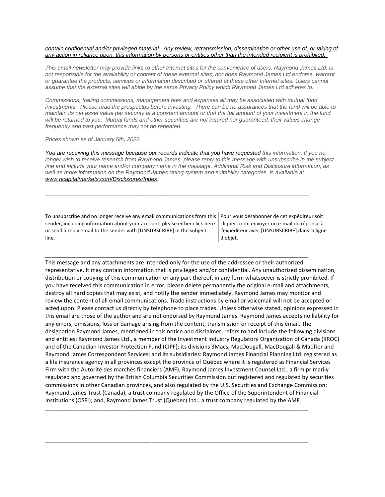#### *contain confidential and/or privileged material. [Any review, retransmission, dissemination or other use of, or taking of](https://na01.safelinks.protection.outlook.com/?url=https%3A%2F%2Furldefense.proofpoint.com%2Fv2%2Furl%3Fu%3Dhttps-3A__na01.safelinks.protection.outlook.com_-3Furl-3Dhttps-253A-252F-252Furldefense.proofpoint.com-252Fv2-252Furl-253Fu-253Dhttps-2D3A-5F-5Fnam11.safelinks.protection.outlook.com-5F-2D3Furl-2D3Dhttps-2D253A-2D252F-2D252Fowa-2D2Dkel.raymondjames.ca-2D252Fowa-2D252Fredir.aspx-2D253FSURL-2D253Dz0BxOCXDlQ-2D2DAad1f-2D5Fa9igaARxm5Rd1VXE7UcmD4mZ3IZiacj7DPTCG0AYQBpAGwAdABvADoAcABhAHUAbAAuAHMAaQBsAHUAYwBoAEAAcgBhAHkAbQBvAG4AZABqAGEAbQBlAHMALgBjAGEA-2D2526URL-2D253Dmailto-2D25253apaul.siluch-2D252540raymondjames.ca-2D26data-2D3D02-2D257C01-2D257C-2D257Cc172461ecbee4482512908d85e8192cf-2D257C84df9e7fe9f640afb435aaaaaaaaaaaa-2D257C1-2D257C0-2D257C637363258183645669-2D26sdata-2D3DjKvjWtH2krR43u3J3z5Cv9nHD0QMiBAUf4SY0jMfuYE-2D253D-2D26reserved-2D3D0-2526d-253DDwMF-2Dg-2526c-253DK3dQCUGiI1B95NJ6cl3GoyhMW2dvBOfimZA-2D83UXll0-2526r-253D-5F6MBBSGYsFznIBwslhTiqBKEz4pHUCTd-5F9tbh-5FEpUMY-2526m-253D7qOaEnVxLdGuCP74qXGTNk9xkBSFm8R3CYYmRfTv9PQ-2526s-253Dm8uHgNiRKEtIPVRoT8MsE-2DO97e6Q7JVm8rnhQdyv494-2526e-253D-26data-3D04-257C01-257C-257Cd7befaa6204e4970b3c708d940d9c59b-257C84df9e7fe9f640afb435aaaaaaaaaaaa-257C1-257C0-257C637612126570797642-257CUnknown-257CTWFpbGZsb3d8eyJWIjoiMC4wLjAwMDAiLCJQIjoiV2luMzIiLCJBTiI6Ik1haWwiLCJXVCI6Mn0-253D-257C1000-26sdata-3Dl9-252FvkX2Z97-252FYx3-252FH5lu-252F34o-252B-252BoQHQnEbtpxd-252FTqqdVE-253D-26reserved-3D0%26d%3DDwMGaQ%26c%3D6lBq1l7u-nYp55J7Pl8O6Ib5YT4g76ov0zCpXQrgS5M%26r%3DTmDOHaoWW3RetfvnGoPae_UczKZXXQgvJPe_P66GVYI%26m%3DHg8p8oxWBi-8j3HS2BzGxBvIXidcreERuI3mj9N1_KY%26s%3DlZb8JuoyZ_axPEXYAs2K8KPGqV8PNgyOIrD4K9Cf6x8%26e%3D&data=04%7C01%7C%7C96eb5c23f77d45400b0d08d9c04986b6%7C84df9e7fe9f640afb435aaaaaaaaaaaa%7C1%7C0%7C637752244322551095%7CUnknown%7CTWFpbGZsb3d8eyJWIjoiMC4wLjAwMDAiLCJQIjoiV2luMzIiLCJBTiI6Ik1haWwiLCJXVCI6Mn0%3D%7C3000&sdata=0N%2FKMRhJBPZcqlFDlt0B2iha1Sofl5j030YQWQxtAs0%3D&reserved=0)  [any action in reliance upon, this information by persons or entities other than the intended recipient is prohibited.](https://na01.safelinks.protection.outlook.com/?url=https%3A%2F%2Furldefense.proofpoint.com%2Fv2%2Furl%3Fu%3Dhttps-3A__na01.safelinks.protection.outlook.com_-3Furl-3Dhttps-253A-252F-252Furldefense.proofpoint.com-252Fv2-252Furl-253Fu-253Dhttps-2D3A-5F-5Fnam11.safelinks.protection.outlook.com-5F-2D3Furl-2D3Dhttps-2D253A-2D252F-2D252Fowa-2D2Dkel.raymondjames.ca-2D252Fowa-2D252Fredir.aspx-2D253FSURL-2D253Dz0BxOCXDlQ-2D2DAad1f-2D5Fa9igaARxm5Rd1VXE7UcmD4mZ3IZiacj7DPTCG0AYQBpAGwAdABvADoAcABhAHUAbAAuAHMAaQBsAHUAYwBoAEAAcgBhAHkAbQBvAG4AZABqAGEAbQBlAHMALgBjAGEA-2D2526URL-2D253Dmailto-2D25253apaul.siluch-2D252540raymondjames.ca-2D26data-2D3D02-2D257C01-2D257C-2D257Cc172461ecbee4482512908d85e8192cf-2D257C84df9e7fe9f640afb435aaaaaaaaaaaa-2D257C1-2D257C0-2D257C637363258183645669-2D26sdata-2D3DjKvjWtH2krR43u3J3z5Cv9nHD0QMiBAUf4SY0jMfuYE-2D253D-2D26reserved-2D3D0-2526d-253DDwMF-2Dg-2526c-253DK3dQCUGiI1B95NJ6cl3GoyhMW2dvBOfimZA-2D83UXll0-2526r-253D-5F6MBBSGYsFznIBwslhTiqBKEz4pHUCTd-5F9tbh-5FEpUMY-2526m-253D7qOaEnVxLdGuCP74qXGTNk9xkBSFm8R3CYYmRfTv9PQ-2526s-253Dm8uHgNiRKEtIPVRoT8MsE-2DO97e6Q7JVm8rnhQdyv494-2526e-253D-26data-3D04-257C01-257C-257Cd7befaa6204e4970b3c708d940d9c59b-257C84df9e7fe9f640afb435aaaaaaaaaaaa-257C1-257C0-257C637612126570797642-257CUnknown-257CTWFpbGZsb3d8eyJWIjoiMC4wLjAwMDAiLCJQIjoiV2luMzIiLCJBTiI6Ik1haWwiLCJXVCI6Mn0-253D-257C1000-26sdata-3Dl9-252FvkX2Z97-252FYx3-252FH5lu-252F34o-252B-252BoQHQnEbtpxd-252FTqqdVE-253D-26reserved-3D0%26d%3DDwMGaQ%26c%3D6lBq1l7u-nYp55J7Pl8O6Ib5YT4g76ov0zCpXQrgS5M%26r%3DTmDOHaoWW3RetfvnGoPae_UczKZXXQgvJPe_P66GVYI%26m%3DHg8p8oxWBi-8j3HS2BzGxBvIXidcreERuI3mj9N1_KY%26s%3DlZb8JuoyZ_axPEXYAs2K8KPGqV8PNgyOIrD4K9Cf6x8%26e%3D&data=04%7C01%7C%7C96eb5c23f77d45400b0d08d9c04986b6%7C84df9e7fe9f640afb435aaaaaaaaaaaa%7C1%7C0%7C637752244322551095%7CUnknown%7CTWFpbGZsb3d8eyJWIjoiMC4wLjAwMDAiLCJQIjoiV2luMzIiLCJBTiI6Ik1haWwiLCJXVCI6Mn0%3D%7C3000&sdata=0N%2FKMRhJBPZcqlFDlt0B2iha1Sofl5j030YQWQxtAs0%3D&reserved=0)*

*This email newsletter may provide links to other Internet sites for the convenience of users. Raymond James Ltd. is not responsible for the availability or content of these external sites, nor does Raymond James Ltd endorse, warrant or guarantee the products, services or information described or offered at these other Internet sites. Users cannot assume that the external sites will abide by the same Privacy Policy which Raymond James Ltd adheres to.*

*Commissions, trailing commissions, management fees and expenses all may be associated with mutual fund investments. Please read the prospectus before investing. There can be no assurances that the fund will be able to maintain its net asset value per security at a constant amount or that the full amount of your investment in the fund will be returned to you. Mutual funds and other securities are not insured nor guaranteed, their values change frequently and past performance may not be repeated.*

#### *Prices shown as of January 6th, 2022*

*You are receiving this message because our records indicate that you have requested this information. If you no longer wish to receive research from Raymond James, please reply to this message with unsubscribe in the subject line and include your name and/or company name in the message. Additional Risk and Disclosure information, as well as more information on the Raymond James rating system and suitability categories, is available at [www.rjcapitalmarkets.com/Disclosures/Index.](https://na01.safelinks.protection.outlook.com/?url=https%3A%2F%2Furldefense.proofpoint.com%2Fv2%2Furl%3Fu%3Dhttps-3A__na01.safelinks.protection.outlook.com_-3Furl-3Dhttps-253A-252F-252Furldefense.proofpoint.com-252Fv2-252Furl-253Fu-253Dhttps-2D3A-5F-5Fnam11.safelinks.protection.outlook.com-5F-2D3Furl-2D3Dhttps-2D253A-2D252F-2D252Fowa-2D2Dkel.raymondjames.ca-2D252Fowa-2D252Fredir.aspx-2D253FSURL-2D253DxhOB4gpVfLOskwdkUL9L2f18Fq4IG2rgvMfuIIX7BlwZiacj7DPTCGgAdAB0AHAAOgAvAC8AdwB3AHcALgByAGoAYwBhAHAAaQB0AGEAbABtAGEAcgBrAGUAdABzAC4AYwBvAG0ALwBEAGkAcwBjAGwAbwBzAHUAcgBlAHMALwBJAG4AZABlAHgA-2D2526URL-2D253Dhttp-2D25253a-2D25252f-2D25252fwww.rjcapitalmarkets.com-2D25252fDisclosures-2D25252fIndex-2D26data-2D3D02-2D257C01-2D257C-2D257Cc172461ecbee4482512908d85e8192cf-2D257C84df9e7fe9f640afb435aaaaaaaaaaaa-2D257C1-2D257C0-2D257C637363258183655664-2D26sdata-2D3DoIGN-2D252B1v-2D252BJNQ-2D252BZPo1ywEHtDOfbELe3OmLG-2D252FFg-2D252FM3Utoc-2D253D-2D26reserved-2D3D0-2526d-253DDwMF-2Dg-2526c-253DK3dQCUGiI1B95NJ6cl3GoyhMW2dvBOfimZA-2D83UXll0-2526r-253D-5F6MBBSGYsFznIBwslhTiqBKEz4pHUCTd-5F9tbh-5FEpUMY-2526m-253D7qOaEnVxLdGuCP74qXGTNk9xkBSFm8R3CYYmRfTv9PQ-2526s-253DDBdK-5FpzBuQHicYmhkDa-2D8JlRVcVl-2Doi24aL-5FwseaH40-2526e-253D-26data-3D04-257C01-257C-257Cd7befaa6204e4970b3c708d940d9c59b-257C84df9e7fe9f640afb435aaaaaaaaaaaa-257C1-257C0-257C637612126570807637-257CUnknown-257CTWFpbGZsb3d8eyJWIjoiMC4wLjAwMDAiLCJQIjoiV2luMzIiLCJBTiI6Ik1haWwiLCJXVCI6Mn0-253D-257C1000-26sdata-3D42WFytg2nJigwFv25rXxW91ml6-252BCn4KvME5M-252BcAoInY-253D-26reserved-3D0%26d%3DDwMGaQ%26c%3D6lBq1l7u-nYp55J7Pl8O6Ib5YT4g76ov0zCpXQrgS5M%26r%3DTmDOHaoWW3RetfvnGoPae_UczKZXXQgvJPe_P66GVYI%26m%3DHg8p8oxWBi-8j3HS2BzGxBvIXidcreERuI3mj9N1_KY%26s%3DyWJS6c4Wff_BUzjMT1YI3oJyIFTiCn7WNVr3YMhaYIk%26e%3D&data=04%7C01%7C%7C96eb5c23f77d45400b0d08d9c04986b6%7C84df9e7fe9f640afb435aaaaaaaaaaaa%7C1%7C0%7C637752244322551095%7CUnknown%7CTWFpbGZsb3d8eyJWIjoiMC4wLjAwMDAiLCJQIjoiV2luMzIiLCJBTiI6Ik1haWwiLCJXVCI6Mn0%3D%7C3000&sdata=R1xNHlifVL9q98WWY4zcCppeqV3XYKc1KhVRqUvJCXo%3D&reserved=0)*

\_\_\_\_\_\_\_\_\_\_\_\_\_\_\_\_\_\_\_\_\_\_\_\_\_\_\_\_\_\_\_\_\_\_\_\_\_\_\_\_\_\_\_\_\_\_\_\_\_\_\_\_\_\_\_\_\_\_\_\_\_\_\_\_\_\_\_\_\_\_\_\_\_\_\_\_\_\_\_\_\_\_\_\_

\_\_\_\_\_\_\_\_\_\_\_\_\_\_\_\_\_\_\_\_\_\_\_\_\_\_\_\_\_\_\_\_\_\_\_\_\_\_\_\_\_\_\_\_\_\_\_\_\_\_\_\_\_\_\_\_\_\_\_\_\_\_\_\_\_\_\_\_\_\_\_\_\_\_\_\_\_\_\_\_\_\_\_\_

To unsubscribe and no longer receive any email communications from this sender, including information about your account, please either clic[k here](mailto:paul.siluch@raymondjames.ca?subject=[UNSUBSCRIBE]&body=I%20wish%20to%20unsubscribe%20from%20all%20commercial%20electronic%20messages%20from%20this%20sender.%20%20There%20may%20be%20other%20employees%20or%20agents%20within%20Raymond%20James%20which%20communicate%20with%20me%20electronically%20and%20I%20understand%20that%20I%20may%20unsubscribe%20from%20these%20senders%20separately.) or send a reply email to the sender with [UNSUBSCRIBE] in the subject line.

Pour vous désabonner de cet expéditeur soit clique[r ici](mailto:paul.siluch@raymondjames.ca?subject=[UNSUBSCRIBE]&body=Je%20souhaite%20me%20désinscrire%20de%20tous%20les%20messages%20électroniques%20commerciaux.%20Il%20peut%20y%20avoir%20d) ou envoyer un e-mail de réponse à l'expéditeur avec [UNSUBSCRIBE] dans la ligne d'objet.

This message and any attachments are intended only for the use of the addressee or their authorized representative. It may contain information that is privileged and/or confidential. Any unauthorized dissemination, distribution or copying of this communication or any part thereof, in any form whatsoever is strictly prohibited. If you have received this communication in error, please delete permanently the original e-mail and attachments, destroy all hard copies that may exist, and notify the sender immediately. Raymond James may monitor and review the content of all email communications. Trade instructions by email or voicemail will not be accepted or acted upon. Please contact us directly by telephone to place trades. Unless otherwise stated, opinions expressed in this email are those of the author and are not endorsed by Raymond James. Raymond James accepts no liability for any errors, omissions, loss or damage arising from the content, transmission or receipt of this email. The designation Raymond James, mentioned in this notice and disclaimer, refers to and include the following divisions and entities: Raymond James Ltd., a member of the Investment Industry Regulatory Organization of Canada (IIROC) and of the Canadian Investor Protection Fund (CIPF); its divisions 3Macs, MacDougall, MacDougall & MacTier and Raymond James Correspondent Services; and its subsidiaries: Raymond James Financial Planning Ltd. registered as a life insurance agency in all provinces except the province of Québec where it is registered as Financial Services Firm with the Autorité des marchés financiers (AMF); Raymond James Investment Counsel Ltd., a firm primarily regulated and governed by the British Columbia Securities Commission but registered and regulated by securities commissions in other Canadian provinces, and also regulated by the U.S. Securities and Exchange Commission; Raymond James Trust (Canada), a trust company regulated by the Office of the Superintendent of Financial Institutions (OSFI); and, Raymond James Trust (Québec) Ltd., a trust company regulated by the AMF.

\_\_\_\_\_\_\_\_\_\_\_\_\_\_\_\_\_\_\_\_\_\_\_\_\_\_\_\_\_\_\_\_\_\_\_\_\_\_\_\_\_\_\_\_\_\_\_\_\_\_\_\_\_\_\_\_\_\_\_\_\_\_\_\_\_\_\_\_\_\_\_\_\_\_\_\_\_\_\_\_\_\_\_\_

\_\_\_\_\_\_\_\_\_\_\_\_\_\_\_\_\_\_\_\_\_\_\_\_\_\_\_\_\_\_\_\_\_\_\_\_\_\_\_\_\_\_\_\_\_\_\_\_\_\_\_\_\_\_\_\_\_\_\_\_\_\_\_\_\_\_\_\_\_\_\_\_\_\_\_\_\_\_\_\_\_\_\_\_